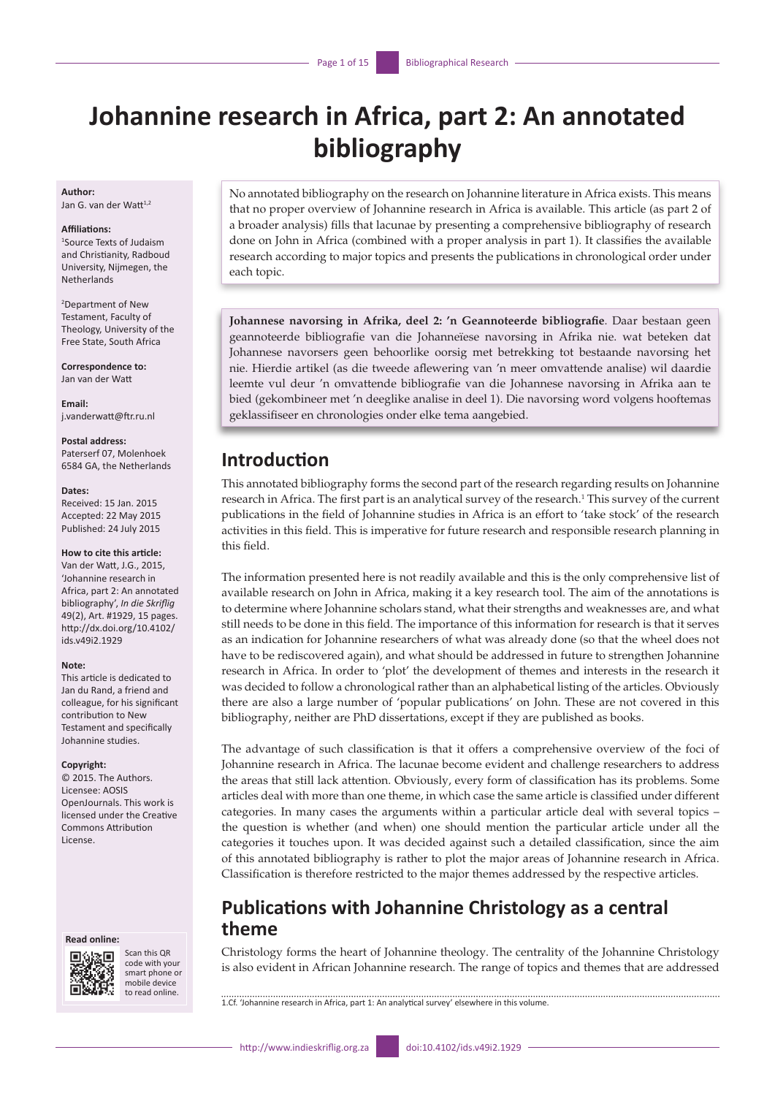# **Johannine research in Africa, part 2: An annotated bibliography**

#### **Author:** Jan G. van der Watt<sup>1,2</sup>

#### **Affiliations:**

1 Source Texts of Judaism and Christianity, Radboud University, Nijmegen, the Netherlands

2 Department of New Testament, Faculty of Theology, University of the Free State, South Africa

**Correspondence to:** Jan van der Watt

**Email:** [j.vanderwatt@ftr.ru.nl](mailto:j.vanderwatt@ftr.ru.nl)

#### **Postal address:**

Paterserf 07, Molenhoek 6584 GA, the Netherlands

#### **Dates:**

Received: 15 Jan. 2015 Accepted: 22 May 2015 Published: 24 July 2015

#### **How to cite this article:**

Van der Watt, J.G., 2015, 'Johannine research in Africa, part 2: An annotated bibliography', *In die Skriflig* 49(2), Art. #1929, 15 pages. [http://dx.doi.org/10.4102/](http://dx.doi.org/10.4102/ids.v49i2.1929) [ids.v49i2.1929](http://dx.doi.org/10.4102/ids.v49i2.1929)

#### **Note:**

This article is dedicated to Jan du Rand, a friend and colleague, for his significant contribution to New Testament and specifically Johannine studies.

#### **Copyright:**

© 2015. The Authors. Licensee: AOSIS OpenJournals. This work is licensed under the Creative Commons Attribution License.

**Read online:**



Scan this QR code with your smart phone or mobile device to read online.

No annotated bibliography on the research on Johannine literature in Africa exists. This means that no proper overview of Johannine research in Africa is available. This article (as part 2 of a broader analysis) fills that lacunae by presenting a comprehensive bibliography of research done on John in Africa (combined with a proper analysis in part 1). It classifies the available research according to major topics and presents the publications in chronological order under each topic.

**Johannese navorsing in Afrika, deel 2: 'n Geannoteerde bibliografie**. Daar bestaan geen geannoteerde bibliografie van die Johanneïese navorsing in Afrika nie. wat beteken dat Johannese navorsers geen behoorlike oorsig met betrekking tot bestaande navorsing het nie. Hierdie artikel (as die tweede aflewering van 'n meer omvattende analise) wil daardie leemte vul deur 'n omvattende bibliografie van die Johannese navorsing in Afrika aan te bied (gekombineer met 'n deeglike analise in deel 1). Die navorsing word volgens hooftemas geklassifiseer en chronologies onder elke tema aangebied.

### **Introduction**

This annotated bibliography forms the second part of the research regarding results on Johannine research in Africa. The first part is an analytical survey of the research.1 This survey of the current publications in the field of Johannine studies in Africa is an effort to 'take stock' of the research activities in this field. This is imperative for future research and responsible research planning in this field.

The information presented here is not readily available and this is the only comprehensive list of available research on John in Africa, making it a key research tool. The aim of the annotations is to determine where Johannine scholars stand, what their strengths and weaknesses are, and what still needs to be done in this field. The importance of this information for research is that it serves as an indication for Johannine researchers of what was already done (so that the wheel does not have to be rediscovered again), and what should be addressed in future to strengthen Johannine research in Africa. In order to 'plot' the development of themes and interests in the research it was decided to follow a chronological rather than an alphabetical listing of the articles. Obviously there are also a large number of 'popular publications' on John. These are not covered in this bibliography, neither are PhD dissertations, except if they are published as books.

The advantage of such classification is that it offers a comprehensive overview of the foci of Johannine research in Africa. The lacunae become evident and challenge researchers to address the areas that still lack attention. Obviously, every form of classification has its problems. Some articles deal with more than one theme, in which case the same article is classified under different categories. In many cases the arguments within a particular article deal with several topics – the question is whether (and when) one should mention the particular article under all the categories it touches upon. It was decided against such a detailed classification, since the aim of this annotated bibliography is rather to plot the major areas of Johannine research in Africa. Classification is therefore restricted to the major themes addressed by the respective articles.

# **Publications with Johannine Christology as a central theme**

Christology forms the heart of Johannine theology. The centrality of the Johannine Christology is also evident in African Johannine research. The range of topics and themes that are addressed

1.Cf. 'Johannine research in Africa, part 1: An analytical survey' elsewhere in this volume.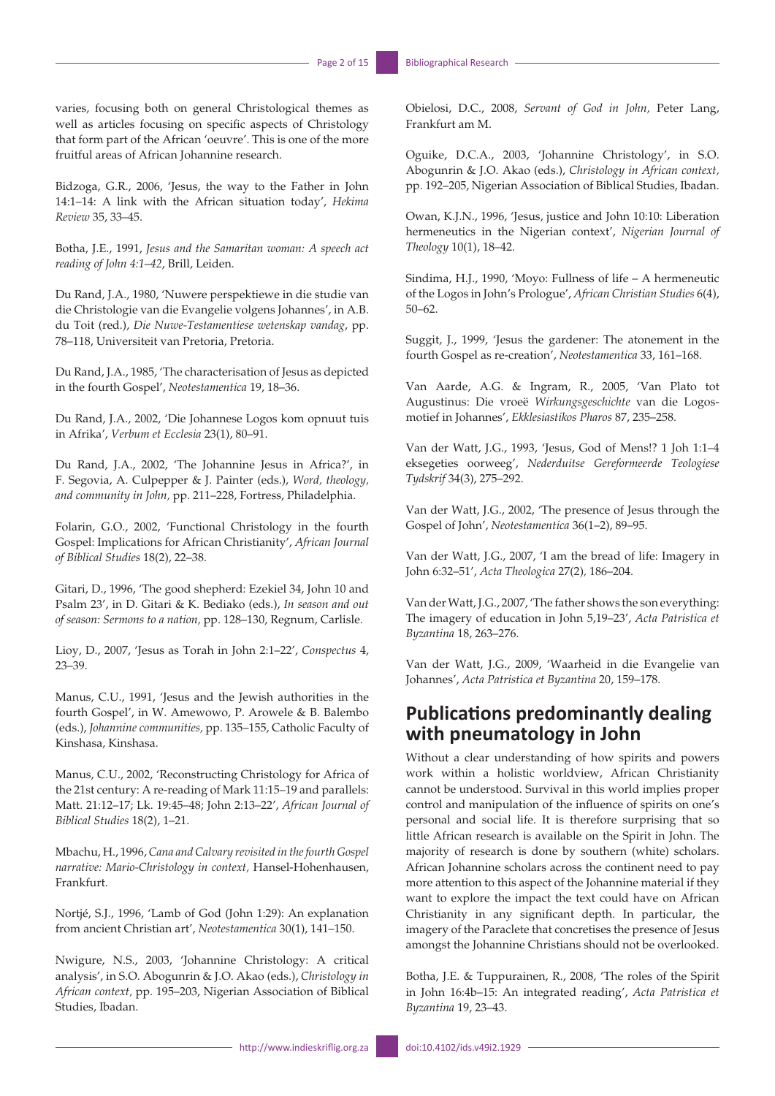varies, focusing both on general Christological themes as well as articles focusing on specific aspects of Christology that form part of the African 'oeuvre'. This is one of the more fruitful areas of African Johannine research.

Bidzoga, G.R., 2006, 'Jesus, the way to the Father in John 14:1–14: A link with the African situation today', *Hekima Review* 35, 33–45.

Botha, J.E., 1991, *Jesus and the Samaritan woman: A speech act reading of John 4:1*–*42*, Brill, Leiden.

Du Rand, J.A., 1980, 'Nuwere perspektiewe in die studie van die Christologie van die Evangelie volgens Johannes', in A.B. du Toit (red.), *Die Nuwe-Testamentiese wetenskap vandag*, pp. 78–118, Universiteit van Pretoria, Pretoria.

Du Rand, J.A., 1985, 'The characterisation of Jesus as depicted in the fourth Gospel', *Neotestamentica* 19, 18–36.

Du Rand, J.A., 2002, 'Die Johannese Logos kom opnuut tuis in Afrika', *Verbum et Ecclesia* 23(1), 80–91.

Du Rand, J.A., 2002, 'The Johannine Jesus in Africa?', in F. Segovia, A. Culpepper & J. Painter (eds.), *Word, theology, and community in John,* pp. 211–228, Fortress, Philadelphia.

Folarin, G.O., 2002, 'Functional Christology in the fourth Gospel: Implications for African Christianity', *African Journal of Biblical Studies* 18(2), 22–38.

Gitari, D., 1996, 'The good shepherd: Ezekiel 34, John 10 and Psalm 23', in D. Gitari & K. Bediako (eds.), *In season and out of season: Sermons to a nation,* pp. 128–130, Regnum, Carlisle.

Lioy, D., 2007, 'Jesus as Torah in John 2:1–22', *Conspectus* 4, 23–39.

Manus, C.U., 1991, 'Jesus and the Jewish authorities in the fourth Gospel', in W. Amewowo, P. Arowele & B. Balembo (eds.), *Johannine communities,* pp. 135–155, Catholic Faculty of Kinshasa, Kinshasa.

Manus, C.U., 2002, 'Reconstructing Christology for Africa of the 21st century: A re-reading of Mark 11:15–19 and parallels: Matt. 21:12–17; Lk. 19:45–48; John 2:13–22', *African Journal of Biblical Studies* 18(2), 1–21.

Mbachu, H., 1996, *Cana and Calvary revisited in the fourth Gospel narrative: Mario-Christology in context,* Hansel-Hohenhausen, Frankfurt.

Nortjé, S.J., 1996, 'Lamb of God (John 1:29): An explanation from ancient Christian art', *Neotestamentica* 30(1), 141–150.

Nwigure, N.S., 2003, 'Johannine Christology: A critical analysis', in S.O. Abogunrin & J.O. Akao (eds.), *Christology in African context,* pp. 195–203, Nigerian Association of Biblical Studies, Ibadan.

Obielosi, D.C., 2008, *Servant of God in John,* Peter Lang, Frankfurt am M.

Oguike, D.C.A., 2003, 'Johannine Christology', in S.O. Abogunrin & J.O. Akao (eds.), *Christology in African context,*  pp. 192–205, Nigerian Association of Biblical Studies, Ibadan.

Owan, K.J.N., 1996, 'Jesus, justice and John 10:10: Liberation hermeneutics in the Nigerian context', *Nigerian Journal of Theology* 10(1), 18–42.

Sindima, H.J., 1990, 'Moyo: Fullness of life – A hermeneutic of the Logos in John's Prologue', *African Christian Studies* 6(4), 50–62.

Suggit, J., 1999, 'Jesus the gardener: The atonement in the fourth Gospel as re-creation', *Neotestamentica* 33, 161–168.

Van Aarde, A.G. & Ingram, R., 2005, 'Van Plato tot Augustinus: Die vroeë *Wirkungsgeschichte* van die Logosmotief in Johannes', *Ekklesiastikos Pharos* 87, 235–258.

Van der Watt, J.G., 1993, 'Jesus, God of Mens!? 1 Joh 1:1–4 eksegeties oorweeg', *Nederduitse Gereformeerde Teologiese Tydskrif* 34(3), 275–292.

Van der Watt, J.G., 2002, 'The presence of Jesus through the Gospel of John', *Neotestamentica* 36(1–2), 89–95.

Van der Watt, J.G., 2007, 'I am the bread of life: Imagery in John 6:32–51', *Acta Theologica* 27(2)*,* 186–204.

Van der Watt, J.G., 2007, 'The father shows the son everything: The imagery of education in John 5,19–23', *Acta Patristica et Byzantina* 18, 263–276.

Van der Watt, J.G., 2009, 'Waarheid in die Evangelie van Johannes', *Acta Patristica et Byzantina* 20, 159–178.

# **Publications predominantly dealing with pneumatology in John**

Without a clear understanding of how spirits and powers work within a holistic worldview, African Christianity cannot be understood. Survival in this world implies proper control and manipulation of the influence of spirits on one's personal and social life. It is therefore surprising that so little African research is available on the Spirit in John. The majority of research is done by southern (white) scholars. African Johannine scholars across the continent need to pay more attention to this aspect of the Johannine material if they want to explore the impact the text could have on African Christianity in any significant depth. In particular, the imagery of the Paraclete that concretises the presence of Jesus amongst the Johannine Christians should not be overlooked.

Botha, J.E. & Tuppurainen, R., 2008, 'The roles of the Spirit in John 16:4b–15: An integrated reading', *Acta Patristica et Byzantina* 19, 23–43.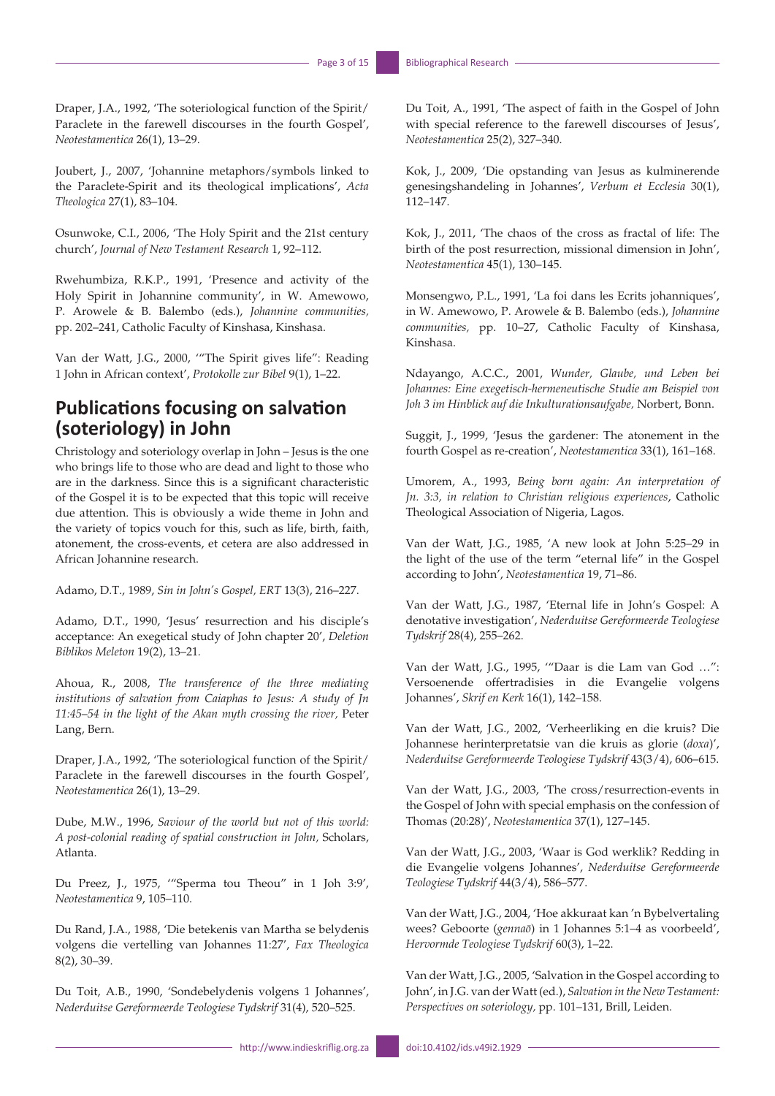Draper, J.A., 1992, 'The soteriological function of the Spirit/ Paraclete in the farewell discourses in the fourth Gospel', *Neotestamentica* 26(1), 13–29.

Joubert, J., 2007, 'Johannine metaphors/symbols linked to the Paraclete-Spirit and its theological implications', *Acta Theologica* 27(1), 83–104.

Osunwoke, C.I., 2006, 'The Holy Spirit and the 21st century church', *Journal of New Testament Research* 1, 92–112.

Rwehumbiza, R.K.P., 1991, 'Presence and activity of the Holy Spirit in Johannine community', in W. Amewowo, P. Arowele & B. Balembo (eds.), *Johannine communities,*  pp. 202–241, Catholic Faculty of Kinshasa, Kinshasa.

Van der Watt, J.G., 2000, '"The Spirit gives life": Reading 1 John in African context', *Protokolle zur Bibel* 9(1), 1–22.

# **Publications focusing on salvation (soteriology) in John**

Christology and soteriology overlap in John – Jesus is the one who brings life to those who are dead and light to those who are in the darkness. Since this is a significant characteristic of the Gospel it is to be expected that this topic will receive due attention. This is obviously a wide theme in John and the variety of topics vouch for this, such as life, birth, faith, atonement, the cross-events, et cetera are also addressed in African Johannine research.

Adamo, D.T., 1989, *Sin in John's Gospel, ERT* 13(3), 216–227.

Adamo, D.T., 1990, 'Jesus' resurrection and his disciple's acceptance: An exegetical study of John chapter 20', *Deletion Biblikos Meleton* 19(2), 13–21*.*

Ahoua, R., 2008, *The transference of the three mediating institutions of salvation from Caiaphas to Jesus: A study of Jn 11:45*–*54 in the light of the Akan myth crossing the river,* Peter Lang, Bern.

Draper, J.A., 1992, 'The soteriological function of the Spirit/ Paraclete in the farewell discourses in the fourth Gospel', *Neotestamentica* 26(1), 13–29.

Dube, M.W., 1996, *Saviour of the world but not of this world: A post-colonial reading of spatial construction in John,* Scholars, Atlanta.

Du Preez, J., 1975, '"Sperma tou Theou" in 1 Joh 3:9', *Neotestamentica* 9, 105–110.

Du Rand, J.A., 1988, 'Die betekenis van Martha se belydenis volgens die vertelling van Johannes 11:27', *Fax Theologica* 8(2), 30–39.

Du Toit, A.B., 1990, 'Sondebelydenis volgens 1 Johannes', *Nederduitse Gereformeerde Teologiese Tydskrif* 31(4), 520–525.

Du Toit, A., 1991, 'The aspect of faith in the Gospel of John with special reference to the farewell discourses of Jesus', *Neotestamentica* 25(2), 327–340.

Kok, J., 2009, 'Die opstanding van Jesus as kulminerende genesingshandeling in Johannes', *Verbum et Ecclesia* 30(1), 112–147.

Kok, J., 2011, 'The chaos of the cross as fractal of life: The birth of the post resurrection, missional dimension in John', *Neotestamentica* 45(1), 130–145.

Monsengwo, P.L., 1991, 'La foi dans les Ecrits johanniques', in W. Amewowo, P. Arowele & B. Balembo (eds.), *Johannine communities,* pp. 10–27, Catholic Faculty of Kinshasa, Kinshasa.

Ndayango, A.C.C., 2001, *Wunder, Glaube, und Leben bei Johannes: Eine exegetisch-hermeneutische Studie am Beispiel von Joh 3 im Hinblick auf die Inkulturationsaufgabe'* Norbert, Bonn.

Suggit, J., 1999, 'Jesus the gardener: The atonement in the fourth Gospel as re-creation', *Neotestamentica* 33(1), 161–168.

Umorem, A., 1993, *Being born again: An interpretation of Jn. 3:3, in relation to Christian religious experiences*, Catholic Theological Association of Nigeria, Lagos.

Van der Watt, J.G., 1985, 'A new look at John 5:25–29 in the light of the use of the term "eternal life" in the Gospel according to John', *Neotestamentica* 19, 71–86.

Van der Watt, J.G., 1987, 'Eternal life in John's Gospel: A denotative investigation', *Nederduitse Gereformeerde Teologiese Tydskrif* 28(4), 255–262.

Van der Watt, J.G., 1995, '"Daar is die Lam van God …": Versoenende offertradisies in die Evangelie volgens Johannes', *Skrif en Kerk* 16(1), 142–158.

Van der Watt, J.G., 2002, 'Verheerliking en die kruis? Die Johannese herinterpretatsie van die kruis as glorie (*doxa*)', *Nederduitse Gereformeerde Teologiese Tydskrif* 43(3/4), 606–615.

Van der Watt, J.G., 2003, 'The cross/resurrection-events in the Gospel of John with special emphasis on the confession of Thomas (20:28)', *Neotestamentica* 37(1), 127–145.

Van der Watt, J.G., 2003, 'Waar is God werklik? Redding in die Evangelie volgens Johannes', *Nederduitse Gereformeerde Teologiese Tydskrif* 44(3/4), 586–577.

Van der Watt, J.G., 2004, 'Hoe akkuraat kan 'n Bybelvertaling wees? Geboorte (gennaō) in 1 Johannes 5:1-4 as voorbeeld', *Hervormde Teologiese Tydskrif* 60(3), 1–22.

Van der Watt, J.G., 2005, 'Salvation in the Gospel according to John', in J.G. van der Watt (ed.), *Salvation in the New Testament: Perspectives on soteriology,* pp. 101–131, Brill, Leiden.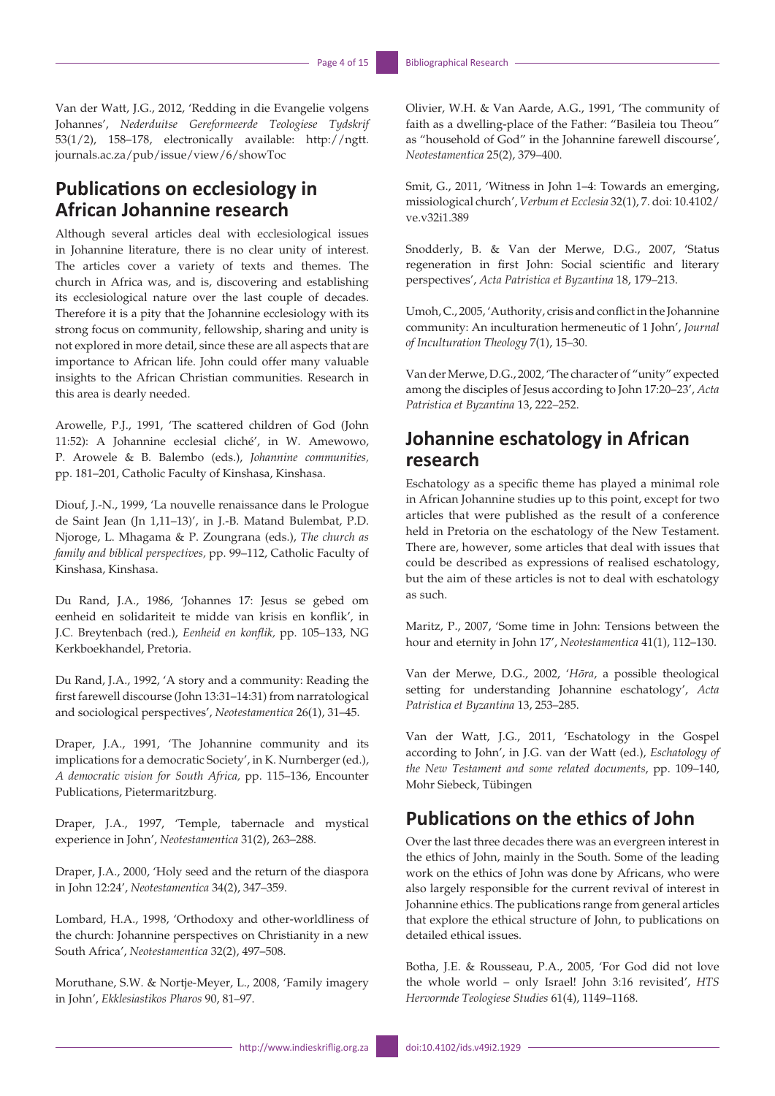Van der Watt, J.G., 2012, 'Redding in die Evangelie volgens Johannes', *Nederduitse Gereformeerde Teologiese Tydskrif*  53(1/2), 158–178, electronically available: http://ngtt. journals.ac.za/pub/issue/view/6/showToc

# **Publications on ecclesiology in African Johannine research**

Although several articles deal with ecclesiological issues in Johannine literature, there is no clear unity of interest. The articles cover a variety of texts and themes. The church in Africa was, and is, discovering and establishing its ecclesiological nature over the last couple of decades. Therefore it is a pity that the Johannine ecclesiology with its strong focus on community, fellowship, sharing and unity is not explored in more detail, since these are all aspects that are importance to African life. John could offer many valuable insights to the African Christian communities. Research in this area is dearly needed.

Arowelle, P.J., 1991, 'The scattered children of God (John 11:52): A Johannine ecclesial cliché', in W. Amewowo, P. Arowele & B. Balembo (eds.), *Johannine communities,*  pp. 181–201, Catholic Faculty of Kinshasa, Kinshasa.

Diouf, J.-N., 1999, 'La nouvelle renaissance dans le Prologue de Saint Jean (Jn 1,11–13)', in J.-B. Matand Bulembat, P.D. Njoroge, L. Mhagama & P. Zoungrana (eds.), *The church as family and biblical perspectives,* pp. 99–112, Catholic Faculty of Kinshasa, Kinshasa.

Du Rand, J.A., 1986, 'Johannes 17: Jesus se gebed om eenheid en solidariteit te midde van krisis en konflik', in J.C. Breytenbach (red.), *Eenheid en konflik,* pp. 105–133, NG Kerkboekhandel, Pretoria.

Du Rand, J.A., 1992, 'A story and a community: Reading the first farewell discourse (John 13:31–14:31) from narratological and sociological perspectives', *Neotestamentica* 26(1), 31–45.

Draper, J.A., 1991, 'The Johannine community and its implications for a democratic Society', in K. Nurnberger (ed.), *A democratic vision for South Africa,* pp. 115–136, Encounter Publications, Pietermaritzburg.

Draper, J.A., 1997, 'Temple, tabernacle and mystical experience in John', *Neotestamentica* 31(2), 263–288.

Draper, J.A., 2000, 'Holy seed and the return of the diaspora in John 12:24', *Neotestamentica* 34(2), 347–359.

Lombard, H.A., 1998, 'Orthodoxy and other-worldliness of the church: Johannine perspectives on Christianity in a new South Africa', *Neotestamentica* 32(2), 497–508.

Moruthane, S.W. & Nortje-Meyer, L., 2008, 'Family imagery in John', *Ekklesiastikos Pharos* 90, 81–97.

Olivier, W.H. & Van Aarde, A.G., 1991, 'The community of faith as a dwelling-place of the Father: "Basileia tou Theou" as "household of God" in the Johannine farewell discourse', *Neotestamentica* 25(2), 379–400.

Smit, G., 2011, 'Witness in John 1–4: Towards an emerging, missiological church', *Verbum et Ecclesia* 32(1), 7. doi: 10.4102/ ve.v32i1.389

Snodderly, B. & Van der Merwe, D.G., 2007, 'Status regeneration in first John: Social scientific and literary perspectives', *Acta Patristica et Byzantina* 18, 179–213.

Umoh, C., 2005, 'Authority, crisis and conflict in the Johannine community: An inculturation hermeneutic of 1 John', *Journal of Inculturation Theology* 7(1), 15–30.

Van der Merwe, D.G., 2002, 'The character of "unity" expected among the disciples of Jesus according to John 17:20–23', *Acta Patristica et Byzantina* 13, 222–252.

## **Johannine eschatology in African research**

Eschatology as a specific theme has played a minimal role in African Johannine studies up to this point, except for two articles that were published as the result of a conference held in Pretoria on the eschatology of the New Testament. There are, however, some articles that deal with issues that could be described as expressions of realised eschatology, but the aim of these articles is not to deal with eschatology as such.

Maritz, P., 2007, 'Some time in John: Tensions between the hour and eternity in John 17', *Neotestamentica* 41(1), 112–130.

Van der Merwe, D.G., 2002, '*Hōra*, a possible theological setting for understanding Johannine eschatology', *Acta Patristica et Byzantina* 13, 253–285.

Van der Watt, J.G., 2011, 'Eschatology in the Gospel according to John', in J.G. van der Watt (ed.), *Eschatology of the New Testament and some related documents*, pp. 109–140, Mohr Siebeck, Tübingen

### **Publications on the ethics of John**

Over the last three decades there was an evergreen interest in the ethics of John, mainly in the South. Some of the leading work on the ethics of John was done by Africans, who were also largely responsible for the current revival of interest in Johannine ethics. The publications range from general articles that explore the ethical structure of John, to publications on detailed ethical issues.

Botha, J.E. & Rousseau, P.A., 2005, 'For God did not love the whole world – only Israel! John 3:16 revisited', *HTS Hervormde Teologiese Studies* 61(4), 1149–1168.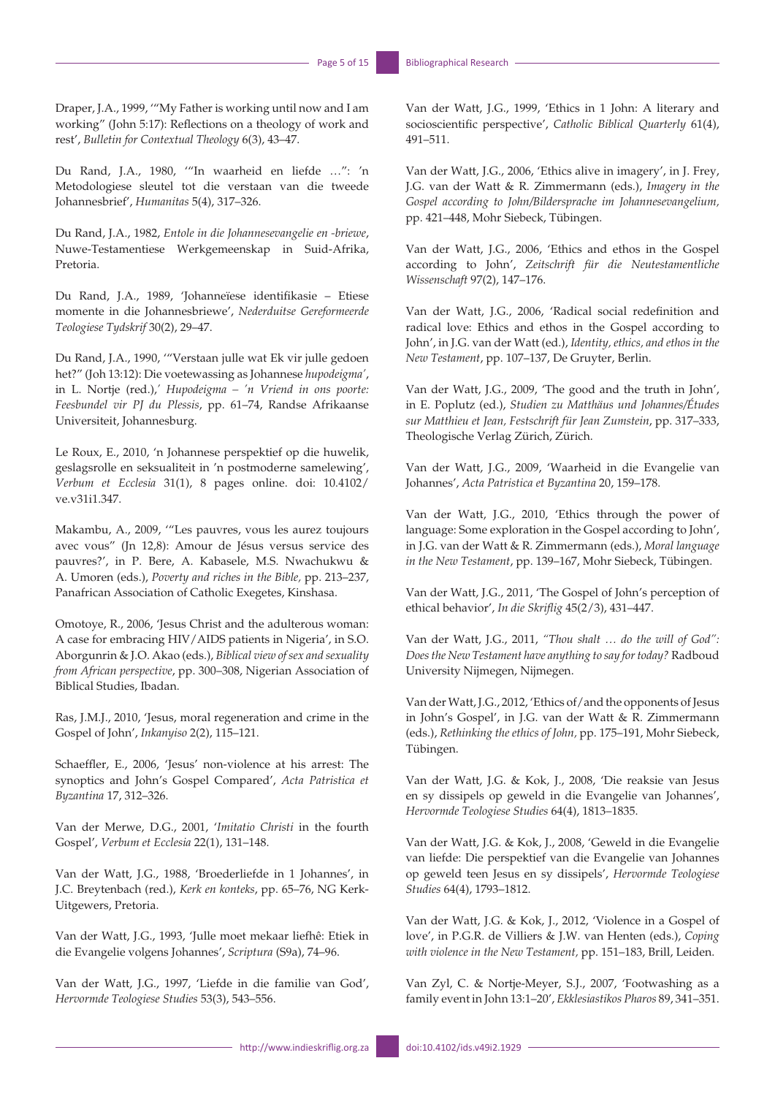Draper, J.A., 1999, '"My Father is working until now and I am working" (John 5:17): Reflections on a theology of work and rest', *Bulletin for Contextual Theology* 6(3), 43–47.

Du Rand, J.A., 1980, '"In waarheid en liefde …": 'n Metodologiese sleutel tot die verstaan van die tweede Johannesbrief', *Humanitas* 5(4), 317–326.

Du Rand, J.A., 1982, *Entole in die Johannesevangelie en -briewe*, Nuwe-Testamentiese Werkgemeenskap in Suid-Afrika, Pretoria.

Du Rand, J.A., 1989, 'Johanneïese identifikasie – Etiese momente in die Johannesbriewe', *Nederduitse Gereformeerde Teologiese Tydskrif* 30(2), 29–47.

Du Rand, J.A., 1990, '"Verstaan julle wat Ek vir julle gedoen het?" (Joh 13:12): Die voetewassing as Johannese *hupodeigma'*, in L. Nortje (red.),*' Hupodeigma – 'n Vriend in ons poorte: Feesbundel vir PJ du Plessis*, pp. 61–74, Randse Afrikaanse Universiteit, Johannesburg.

Le Roux, E., 2010, 'n Johannese perspektief op die huwelik, geslagsrolle en seksualiteit in 'n postmoderne samelewing', *Verbum et Ecclesia* 31(1), 8 pages online. doi: 10.4102/ ve.v31i1.347.

Makambu, A., 2009, '"Les pauvres, vous les aurez toujours avec vous" (Jn 12,8): Amour de Jésus versus service des pauvres?', in P. Bere, A. Kabasele, M.S. Nwachukwu & A. Umoren (eds.), *Poverty and riches in the Bible,* pp. 213–237, Panafrican Association of Catholic Exegetes, Kinshasa.

Omotoye, R., 2006, 'Jesus Christ and the adulterous woman: A case for embracing HIV/AIDS patients in Nigeria', in S.O. Aborgunrin & J.O. Akao (eds.), *Biblical view of sex and sexuality from African perspective*, pp. 300–308, Nigerian Association of Biblical Studies, Ibadan.

Ras, J.M.J., 2010, 'Jesus, moral regeneration and crime in the Gospel of John', *Inkanyiso* 2(2), 115–121.

Schaeffler, E., 2006, 'Jesus' non-violence at his arrest: The synoptics and John's Gospel Compared', *Acta Patristica et Byzantina* 17, 312–326.

Van der Merwe, D.G., 2001, '*Imitatio Christi* in the fourth Gospel', *Verbum et Ecclesia* 22(1), 131–148.

Van der Watt, J.G., 1988, 'Broederliefde in 1 Johannes', in J.C. Breytenbach (red.), *Kerk en konteks*, pp. 65–76, NG Kerk-Uitgewers, Pretoria.

Van der Watt, J.G., 1993, 'Julle moet mekaar liefhê: Etiek in die Evangelie volgens Johannes', *Scriptura* (S9a), 74–96.

Van der Watt, J.G., 1997, 'Liefde in die familie van God', *Hervormde Teologiese Studies* 53(3), 543–556.

Van der Watt, J.G., 1999, 'Ethics in 1 John: A literary and socioscientific perspective', *Catholic Biblical Quarterly* 61(4), 491–511.

Van der Watt, J.G., 2006, 'Ethics alive in imagery', in J. Frey, J.G. van der Watt & R. Zimmermann (eds.), *Imagery in the Gospel according to John/Bildersprache im Johannesevangelium,* pp. 421–448, Mohr Siebeck, Tübingen.

Van der Watt, J.G., 2006, 'Ethics and ethos in the Gospel according to John', *Zeitschrift für die Neutestamentliche Wissenschaft* 97(2), 147–176.

Van der Watt, J.G., 2006, 'Radical social redefinition and radical love: Ethics and ethos in the Gospel according to John', in J.G. van der Watt (ed.), *Identity, ethics, and ethos in the New Testament*, pp. 107–137, De Gruyter, Berlin.

Van der Watt, J.G., 2009, 'The good and the truth in John', in E. Poplutz (ed.), *Studien zu Matthäus und Johannes/Études sur Matthieu et Jean, Festschrift für Jean Zumstein*, pp. 317–333, Theologische Verlag Zürich, Zürich.

Van der Watt, J.G., 2009, 'Waarheid in die Evangelie van Johannes', *Acta Patristica et Byzantina* 20, 159–178.

Van der Watt, J.G., 2010, 'Ethics through the power of language: Some exploration in the Gospel according to John', in J.G. van der Watt & R. Zimmermann (eds.), *Moral language in the New Testament*, pp. 139–167, Mohr Siebeck, Tübingen.

Van der Watt, J.G., 2011, 'The Gospel of John's perception of ethical behavior', *In die Skriflig* 45(2/3), 431–447.

Van der Watt, J.G., 2011, *"Thou shalt … do the will of God": Does the New Testament have anything to say for today?* Radboud University Nijmegen, Nijmegen.

Van der Watt, J.G., 2012, 'Ethics of/and the opponents of Jesus in John's Gospel', in J.G. van der Watt & R. Zimmermann (eds.), *Rethinking the ethics of John,* pp. 175–191, Mohr Siebeck, Tübingen.

Van der Watt, J.G. & Kok, J., 2008, 'Die reaksie van Jesus en sy dissipels op geweld in die Evangelie van Johannes', *Hervormde Teologiese Studies* 64(4), 1813–1835.

Van der Watt, J.G. & Kok, J., 2008, 'Geweld in die Evangelie van liefde: Die perspektief van die Evangelie van Johannes op geweld teen Jesus en sy dissipels', *Hervormde Teologiese Studies* 64(4), 1793–1812.

Van der Watt, J.G. & Kok, J., 2012, 'Violence in a Gospel of love', in P.G.R. de Villiers & J.W. van Henten (eds.), *Coping with violence in the New Testament,* pp. 151–183, Brill, Leiden.

Van Zyl, C. & Nortje-Meyer, S.J., 2007, 'Footwashing as a family event in John 13:1–20', *Ekklesiastikos Pharos* 89, 341–351.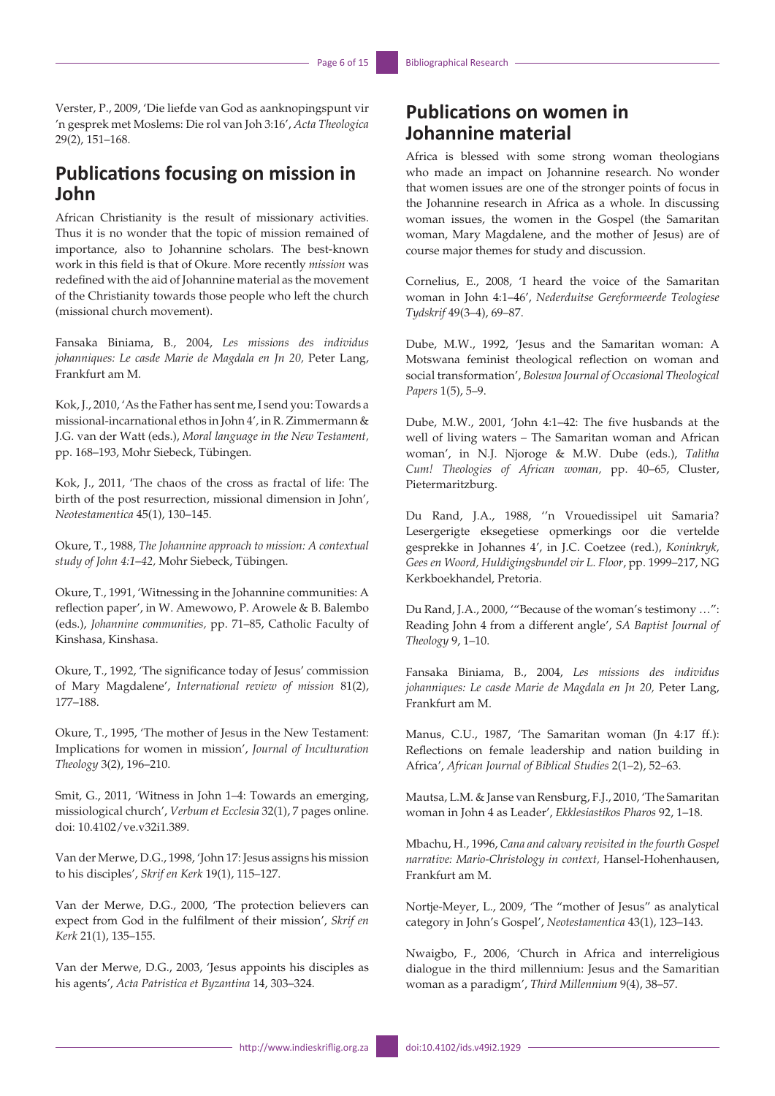Verster, P., 2009, 'Die liefde van God as aanknopingspunt vir 'n gesprek met Moslems: Die rol van Joh 3:16', *Acta Theologica*  29(2), 151–168.

### **Publications focusing on mission in John**

African Christianity is the result of missionary activities. Thus it is no wonder that the topic of mission remained of importance, also to Johannine scholars. The best-known work in this field is that of Okure. More recently *mission* was redefined with the aid of Johannine material as the movement of the Christianity towards those people who left the church (missional church movement).

Fansaka Biniama, B., 2004, *Les missions des individus*  johanniques: Le casde Marie de Magdala en Jn 20, Peter Lang, Frankfurt am M.

Kok, J., 2010, 'As the Father has sent me, I send you: Towards a missional-incarnational ethos in John 4'*,* in R. Zimmermann & J.G. van der Watt (eds.), *Moral language in the New Testament,*  pp. 168–193, Mohr Siebeck, Tübingen.

Kok, J., 2011, 'The chaos of the cross as fractal of life: The birth of the post resurrection, missional dimension in John', *Neotestamentica* 45(1), 130–145.

Okure, T., 1988, *The Johannine approach to mission: A contextual study of John 4:1*–*42,* Mohr Siebeck, Tübingen.

Okure, T., 1991, 'Witnessing in the Johannine communities: A reflection paper', in W. Amewowo, P. Arowele & B. Balembo (eds.), *Johannine communities,* pp. 71–85, Catholic Faculty of Kinshasa, Kinshasa.

Okure, T., 1992, 'The significance today of Jesus' commission of Mary Magdalene', *International review of mission* 81(2), 177–188.

Okure, T., 1995, 'The mother of Jesus in the New Testament: Implications for women in mission', *Journal of Inculturation Theology* 3(2), 196–210.

Smit, G., 2011, 'Witness in John 1–4: Towards an emerging, missiological church', *Verbum et Ecclesia* 32(1), 7 pages online. doi: 10.4102/ve.v32i1.389.

Van der Merwe, D.G., 1998, 'John 17: Jesus assigns his mission to his disciples', *Skrif en Kerk* 19(1), 115–127.

Van der Merwe, D.G., 2000, 'The protection believers can expect from God in the fulfilment of their mission', *Skrif en Kerk* 21(1), 135–155.

Van der Merwe, D.G., 2003, 'Jesus appoints his disciples as his agents', *Acta Patristica et Byzantina* 14, 303–324.

### **Publications on women in Johannine material**

Africa is blessed with some strong woman theologians who made an impact on Johannine research. No wonder that women issues are one of the stronger points of focus in the Johannine research in Africa as a whole. In discussing woman issues, the women in the Gospel (the Samaritan woman, Mary Magdalene, and the mother of Jesus) are of course major themes for study and discussion.

Cornelius, E., 2008, 'I heard the voice of the Samaritan woman in John 4:1–46', *Nederduitse Gereformeerde Teologiese Tydskrif* 49(3–4), 69–87.

Dube, M.W., 1992, 'Jesus and the Samaritan woman: A Motswana feminist theological reflection on woman and social transformation', *Boleswa Journal of Occasional Theological Papers* 1(5), 5–9.

Dube, M.W., 2001, 'John 4:1–42: The five husbands at the well of living waters – The Samaritan woman and African woman', in N.J. Njoroge & M.W. Dube (eds.), *Talitha Cum! Theologies of African woman,* pp. 40–65, Cluster, Pietermaritzburg.

Du Rand, J.A., 1988, ''n Vrouedissipel uit Samaria? Lesergerigte eksegetiese opmerkings oor die vertelde gesprekke in Johannes 4', in J.C. Coetzee (red.), *Koninkryk, Gees en Woord, Huldigingsbundel vir L. Floor*, pp. 1999–217, NG Kerkboekhandel, Pretoria.

Du Rand, J.A., 2000, '"Because of the woman's testimony …": Reading John 4 from a different angle', *SA Baptist Journal of Theology* 9, 1–10.

Fansaka Biniama, B., 2004, *Les missions des individus*  johanniques: Le casde Marie de Magdala en Jn 20, Peter Lang, Frankfurt am M.

Manus, C.U., 1987, 'The Samaritan woman (Jn 4:17 ff.): Reflections on female leadership and nation building in Africa', *African Journal of Biblical Studies* 2(1–2), 52–63.

Mautsa, L.M. & Janse van Rensburg, F.J., 2010, 'The Samaritan woman in John 4 as Leader', *Ekklesiastikos Pharos* 92, 1–18.

Mbachu, H., 1996, *Cana and calvary revisited in the fourth Gospel narrative: Mario-Christology in context,* Hansel-Hohenhausen, Frankfurt am M.

Nortje-Meyer, L., 2009, 'The "mother of Jesus" as analytical category in John's Gospel', *Neotestamentica* 43(1), 123–143.

Nwaigbo, F., 2006, 'Church in Africa and interreligious dialogue in the third millennium: Jesus and the Samaritian woman as a paradigm', *Third Millennium* 9(4), 38–57.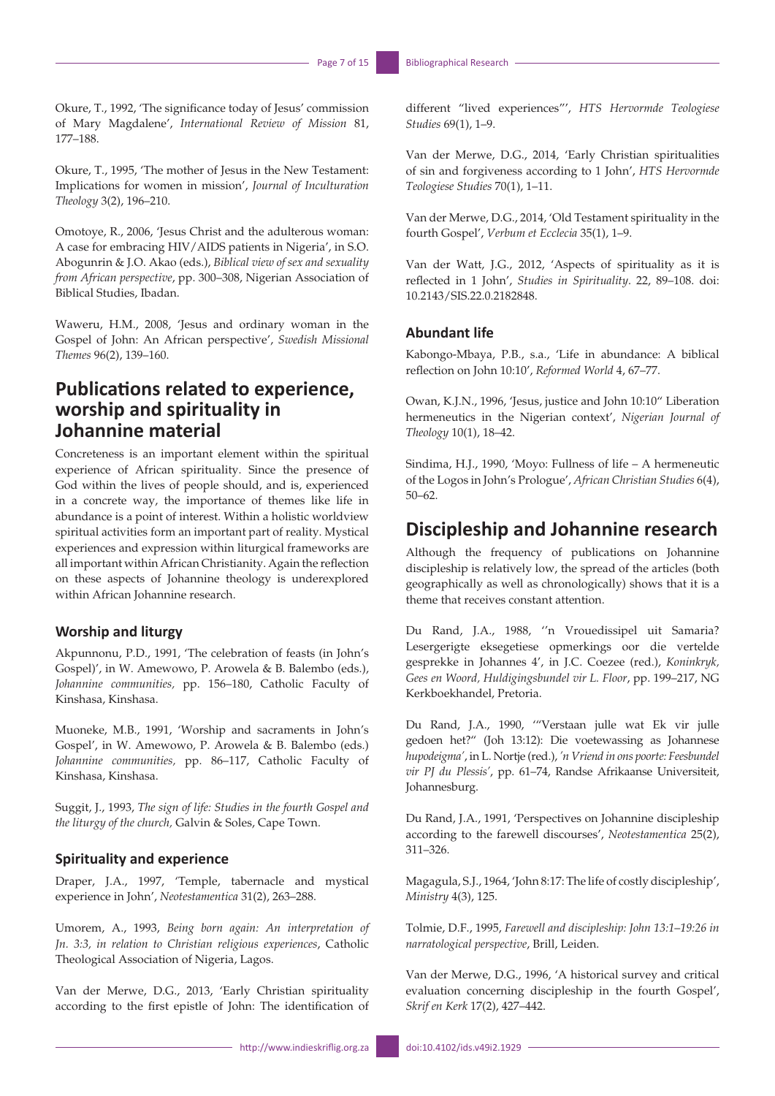Okure, T., 1992, 'The significance today of Jesus' commission of Mary Magdalene', *International Review of Mission* 81, 177–188.

Okure, T., 1995, 'The mother of Jesus in the New Testament: Implications for women in mission', *Journal of Inculturation Theology* 3(2), 196–210.

Omotoye, R., 2006, 'Jesus Christ and the adulterous woman: A case for embracing HIV/AIDS patients in Nigeria', in S.O. Abogunrin & J.O. Akao (eds.), *Biblical view of sex and sexuality from African perspective*, pp. 300–308, Nigerian Association of Biblical Studies, Ibadan.

Waweru, H.M., 2008, 'Jesus and ordinary woman in the Gospel of John: An African perspective', *Swedish Missional Themes* 96(2), 139–160.

### **Publications related to experience, worship and spirituality in Johannine material**

Concreteness is an important element within the spiritual experience of African spirituality. Since the presence of God within the lives of people should, and is, experienced in a concrete way, the importance of themes like life in abundance is a point of interest. Within a holistic worldview spiritual activities form an important part of reality. Mystical experiences and expression within liturgical frameworks are all important within African Christianity. Again the reflection on these aspects of Johannine theology is underexplored within African Johannine research.

### **Worship and liturgy**

Akpunnonu, P.D., 1991, 'The celebration of feasts (in John's Gospel)', in W. Amewowo, P. Arowela & B. Balembo (eds.), *Johannine communities,* pp. 156–180, Catholic Faculty of Kinshasa, Kinshasa.

Muoneke, M.B., 1991, 'Worship and sacraments in John's Gospel', in W. Amewowo, P. Arowela & B. Balembo (eds.) *Johannine communities,* pp. 86–117, Catholic Faculty of Kinshasa, Kinshasa.

Suggit, J., 1993, *The sign of life: Studies in the fourth Gospel and the liturgy of the church,* Galvin & Soles, Cape Town.

#### **Spirituality and experience**

Draper, J.A., 1997, 'Temple, tabernacle and mystical experience in John', *Neotestamentica* 31(2), 263–288.

Umorem, A., 1993, *Being born again: An interpretation of Jn. 3:3, in relation to Christian religious experiences*, Catholic Theological Association of Nigeria, Lagos.

Van der Merwe, D.G., 2013, 'Early Christian spirituality according to the first epistle of John: The identification of different "lived experiences"', *HTS Hervormde Teologiese Studies* 69(1), 1–9.

Van der Merwe, D.G., 2014, 'Early Christian spiritualities of sin and forgiveness according to 1 John', *HTS Hervormde Teologiese Studies* 70(1), 1–11.

Van der Merwe, D.G., 2014, 'Old Testament spirituality in the fourth Gospel', *Verbum et Ecclecia* 35(1), 1–9.

Van der Watt, J.G., 2012, 'Aspects of spirituality as it is reflected in 1 John', *Studies in Spirituality*. 22, 89–108. doi: 10.2143/SIS.22.0.2182848.

### **Abundant life**

Kabongo-Mbaya, P.B., s.a., 'Life in abundance: A biblical reflection on John 10:10', *Reformed World* 4, 67–77.

Owan, K.J.N., 1996, 'Jesus, justice and John 10:10" Liberation hermeneutics in the Nigerian context', *Nigerian Journal of Theology* 10(1), 18–42.

Sindima, H.J., 1990, 'Moyo: Fullness of life – A hermeneutic of the Logos in John's Prologue', *African Christian Studies* 6(4), 50–62.

### **Discipleship and Johannine research**

Although the frequency of publications on Johannine discipleship is relatively low, the spread of the articles (both geographically as well as chronologically) shows that it is a theme that receives constant attention.

Du Rand, J.A., 1988, ''n Vrouedissipel uit Samaria? Lesergerigte eksegetiese opmerkings oor die vertelde gesprekke in Johannes 4', in J.C. Coezee (red.), *Koninkryk, Gees en Woord, Huldigingsbundel vir L. Floor*, pp. 199–217, NG Kerkboekhandel, Pretoria.

Du Rand, J.A., 1990, '"Verstaan julle wat Ek vir julle gedoen het?" (Joh 13:12): Die voetewassing as Johannese *hupodeigma'*, in L. Nortje (red.), *'n Vriend in ons poorte: Feesbundel vir PJ du Plessis'*, pp. 61–74, Randse Afrikaanse Universiteit, Johannesburg.

Du Rand, J.A., 1991, 'Perspectives on Johannine discipleship according to the farewell discourses', *Neotestamentica* 25(2), 311–326.

Magagula, S.J., 1964, 'John 8:17: The life of costly discipleship', *Ministry* 4(3), 125.

Tolmie, D.F., 1995, *Farewell and discipleship: John 13:1*–*19:26 in narratological perspective*, Brill, Leiden.

Van der Merwe, D.G., 1996, 'A historical survey and critical evaluation concerning discipleship in the fourth Gospel', *Skrif en Kerk* 17(2), 427–442.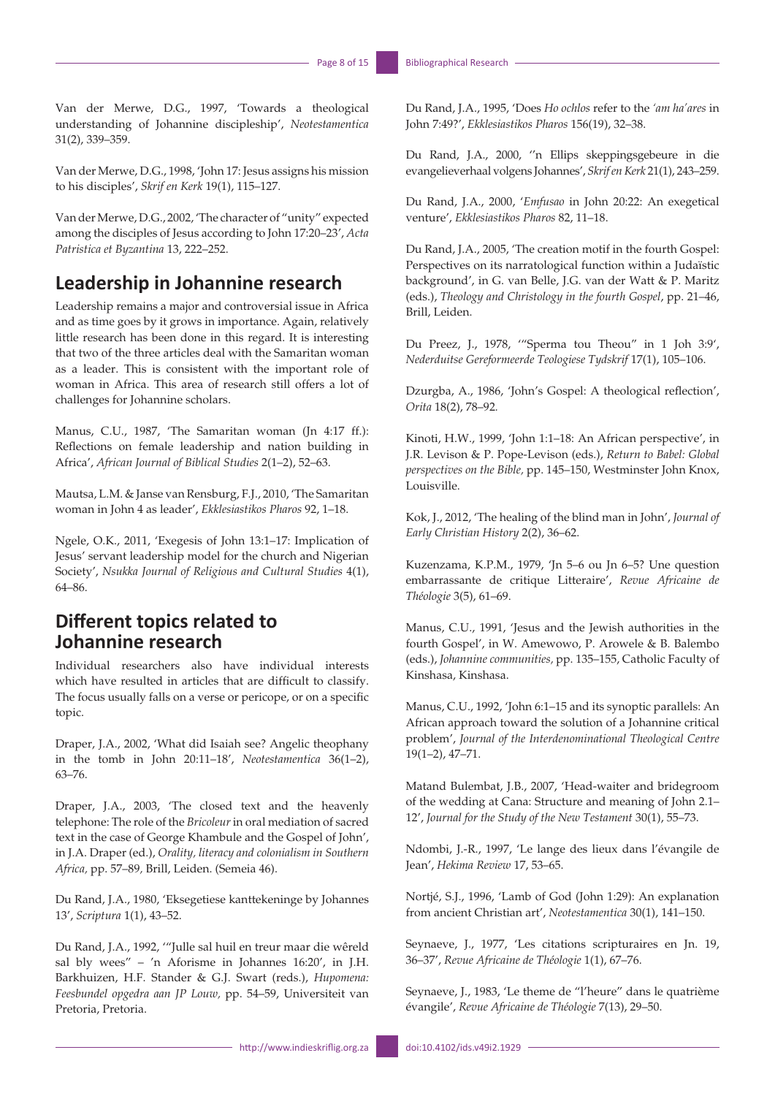Van der Merwe, D.G., 1997, 'Towards a theological understanding of Johannine discipleship', *Neotestamentica* 31(2), 339–359.

Van der Merwe, D.G., 1998, 'John 17: Jesus assigns his mission to his disciples', *Skrif en Kerk* 19(1), 115–127.

Van der Merwe, D.G., 2002, 'The character of "unity" expected among the disciples of Jesus according to John 17:20–23', *Acta Patristica et Byzantina* 13, 222–252.

### **Leadership in Johannine research**

Leadership remains a major and controversial issue in Africa and as time goes by it grows in importance. Again, relatively little research has been done in this regard. It is interesting that two of the three articles deal with the Samaritan woman as a leader. This is consistent with the important role of woman in Africa. This area of research still offers a lot of challenges for Johannine scholars.

Manus, C.U., 1987, 'The Samaritan woman (Jn 4:17 ff.): Reflections on female leadership and nation building in Africa', *African Journal of Biblical Studies* 2(1–2), 52–63.

Mautsa, L.M. & Janse van Rensburg, F.J., 2010, 'The Samaritan woman in John 4 as leader', *Ekklesiastikos Pharos* 92, 1–18.

Ngele, O.K., 2011, 'Exegesis of John 13:1–17: Implication of Jesus' servant leadership model for the church and Nigerian Society', *Nsukka Journal of Religious and Cultural Studies* 4(1), 64–86.

# **Different topics related to Johannine research**

Individual researchers also have individual interests which have resulted in articles that are difficult to classify. The focus usually falls on a verse or pericope, or on a specific topic.

Draper, J.A., 2002, 'What did Isaiah see? Angelic theophany in the tomb in John 20:11–18', *Neotestamentica* 36(1–2), 63–76.

Draper, J.A., 2003, 'The closed text and the heavenly telephone: The role of the *Bricoleur* in oral mediation of sacred text in the case of George Khambule and the Gospel of John', in J.A. Draper (ed.), *Orality, literacy and colonialism in Southern Africa,* pp. 57–89*,* Brill, Leiden. (Semeia 46).

Du Rand, J.A., 1980, 'Eksegetiese kanttekeninge by Johannes 13', *Scriptura* 1(1), 43–52.

Du Rand, J.A., 1992, '"Julle sal huil en treur maar die wêreld sal bly wees" – 'n Aforisme in Johannes 16:20', in J.H. Barkhuizen, H.F. Stander & G.J. Swart (reds.), *Hupomena: Feesbundel opgedra aan JP Louw,* pp. 54–59, Universiteit van Pretoria, Pretoria.

Du Rand, J.A., 1995, 'Does *Ho ochlos* refer to the *'am ha'ares* in John 7:49?', *Ekklesiastikos Pharos* 156(19), 32–38.

Du Rand, J.A., 2000, ''n Ellips skeppingsgebeure in die evangelieverhaal volgens Johannes', *Skrif en Kerk* 21(1), 243–259.

Du Rand, J.A., 2000, '*Emfusao* in John 20:22: An exegetical venture', *Ekklesiastikos Pharos* 82, 11–18.

Du Rand, J.A., 2005, 'The creation motif in the fourth Gospel: Perspectives on its narratological function within a Judaïstic background', in G. van Belle, J.G. van der Watt & P. Maritz (eds.), *Theology and Christology in the fourth Gospel*, pp. 21–46, Brill, Leiden.

Du Preez, J., 1978, '"Sperma tou Theou" in 1 Joh 3:9', *Nederduitse Gereformeerde Teologiese Tydskrif* 17(1), 105–106.

Dzurgba, A., 1986, 'John's Gospel: A theological reflection', *Orita* 18(2), 78–92*.*

Kinoti, H.W., 1999, 'John 1:1–18: An African perspective', in J.R. Levison & P. Pope-Levison (eds.), *Return to Babel: Global perspectives on the Bible,* pp. 145–150, Westminster John Knox, Louisville.

Kok, J., 2012, 'The healing of the blind man in John', *Journal of Early Christian History* 2(2), 36–62.

Kuzenzama, K.P.M., 1979, 'Jn 5–6 ou Jn 6–5? Une question embarrassante de critique Litteraire', *Revue Africaine de Théologie* 3(5), 61–69.

Manus, C.U., 1991, 'Jesus and the Jewish authorities in the fourth Gospel', in W. Amewowo, P. Arowele & B. Balembo (eds.), *Johannine communities,* pp. 135–155, Catholic Faculty of Kinshasa, Kinshasa.

Manus, C.U., 1992, 'John 6:1–15 and its synoptic parallels: An African approach toward the solution of a Johannine critical problem', *Journal of the Interdenominational Theological Centre*  19(1–2), 47–71.

Matand Bulembat, J.B., 2007, 'Head-waiter and bridegroom of the wedding at Cana: Structure and meaning of John 2.1– 12', *Journal for the Study of the New Testament* 30(1), 55–73.

Ndombi, J.-R., 1997, 'Le lange des lieux dans l'évangile de Jean', *Hekima Review* 17, 53–65.

Nortjé, S.J., 1996, 'Lamb of God (John 1:29): An explanation from ancient Christian art', *Neotestamentica* 30(1), 141–150.

Seynaeve, J., 1977, 'Les citations scripturaires en Jn. 19, 36–37', *Revue Africaine de Théologie* 1(1), 67–76.

Seynaeve, J., 1983, 'Le theme de "l'heure" dans le quatrième évangile', *Revue Africaine de Théologie* 7(13), 29–50.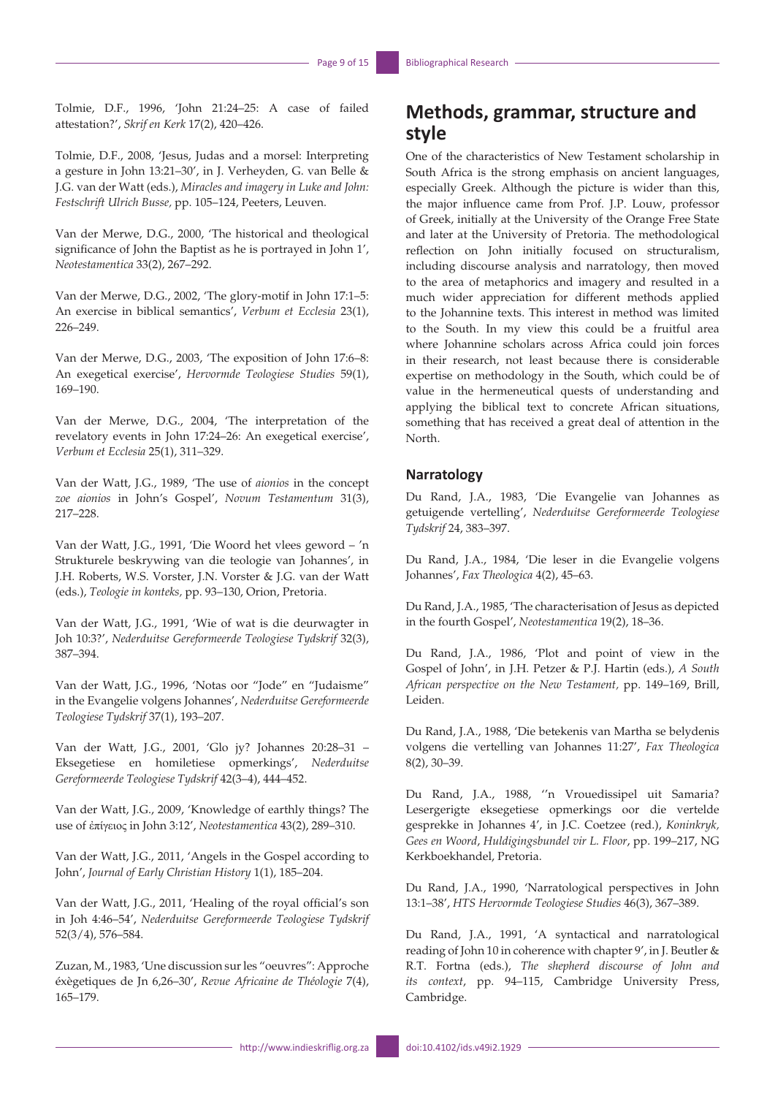Tolmie, D.F., 1996, 'John 21:24–25: A case of failed attestation?', *Skrif en Kerk* 17(2), 420–426.

Tolmie, D.F., 2008, 'Jesus, Judas and a morsel: Interpreting a gesture in John 13:21–30', in J. Verheyden, G. van Belle & J.G. van der Watt (eds.), *Miracles and imagery in Luke and John: Festschrift Ulrich Busse,* pp. 105–124, Peeters, Leuven.

Van der Merwe, D.G., 2000, 'The historical and theological significance of John the Baptist as he is portrayed in John 1', *Neotestamentica* 33(2), 267–292.

Van der Merwe, D.G., 2002, 'The glory-motif in John 17:1–5: An exercise in biblical semantics', *Verbum et Ecclesia* 23(1), 226–249.

Van der Merwe, D.G., 2003, 'The exposition of John 17:6–8: An exegetical exercise', *Hervormde Teologiese Studies* 59(1), 169–190.

Van der Merwe, D.G., 2004, 'The interpretation of the revelatory events in John 17:24–26: An exegetical exercise', *Verbum et Ecclesia* 25(1), 311–329.

Van der Watt, J.G., 1989, 'The use of *aionios* in the concept *zoe aionios* in John's Gospel', *Novum Testamentum* 31(3), 217–228.

Van der Watt, J.G., 1991, 'Die Woord het vlees geword – 'n Strukturele beskrywing van die teologie van Johannes', in J.H. Roberts, W.S. Vorster, J.N. Vorster & J.G. van der Watt (eds.), *Teologie in konteks,* pp. 93–130, Orion, Pretoria.

Van der Watt, J.G., 1991, 'Wie of wat is die deurwagter in Joh 10:3?', *Nederduitse Gereformeerde Teologiese Tydskrif* 32(3), 387–394.

Van der Watt, J.G., 1996, 'Notas oor "Jode" en "Judaisme" in the Evangelie volgens Johannes', *Nederduitse Gereformeerde Teologiese Tydskrif* 37(1), 193–207.

Van der Watt, J.G., 2001, 'Glo jy? Johannes 20:28–31 – Eksegetiese en homiletiese opmerkings', *Nederduitse Gereformeerde Teologiese Tydskrif* 42(3–4), 444–452.

Van der Watt, J.G., 2009, 'Knowledge of earthly things? The use of ἐπίγειος in John 3:12', *Neotestamentica* 43(2), 289–310.

Van der Watt, J.G., 2011, 'Angels in the Gospel according to John', *Journal of Early Christian History* 1(1), 185–204.

Van der Watt, J.G., 2011, 'Healing of the royal official's son in Joh 4:46–54', *Nederduitse Gereformeerde Teologiese Tydskrif*  52(3/4), 576–584.

Zuzan, M., 1983, 'Une discussion sur les "oeuvres": Approche éxègetiques de Jn 6,26–30', *Revue Africaine de Théologie* 7(4), 165–179.

### **Methods, grammar, structure and style**

One of the characteristics of New Testament scholarship in South Africa is the strong emphasis on ancient languages, especially Greek. Although the picture is wider than this, the major influence came from Prof. J.P. Louw, professor of Greek, initially at the University of the Orange Free State and later at the University of Pretoria. The methodological reflection on John initially focused on structuralism, including discourse analysis and narratology, then moved to the area of metaphorics and imagery and resulted in a much wider appreciation for different methods applied to the Johannine texts. This interest in method was limited to the South. In my view this could be a fruitful area where Johannine scholars across Africa could join forces in their research, not least because there is considerable expertise on methodology in the South, which could be of value in the hermeneutical quests of understanding and applying the biblical text to concrete African situations, something that has received a great deal of attention in the North.

### **Narratology**

Du Rand, J.A., 1983, 'Die Evangelie van Johannes as getuigende vertelling', *Nederduitse Gereformeerde Teologiese Tydskrif* 24, 383–397.

Du Rand, J.A., 1984, 'Die leser in die Evangelie volgens Johannes', *Fax Theologica* 4(2), 45–63.

Du Rand, J.A., 1985, 'The characterisation of Jesus as depicted in the fourth Gospel', *Neotestamentica* 19(2), 18–36.

Du Rand, J.A., 1986, 'Plot and point of view in the Gospel of John', in J.H. Petzer & P.J. Hartin (eds.), *A South African perspective on the New Testament,* pp. 149–169, Brill, Leiden.

Du Rand, J.A., 1988, 'Die betekenis van Martha se belydenis volgens die vertelling van Johannes 11:27', *Fax Theologica* 8(2), 30–39.

Du Rand, J.A., 1988, ''n Vrouedissipel uit Samaria? Lesergerigte eksegetiese opmerkings oor die vertelde gesprekke in Johannes 4', in J.C. Coetzee (red.), *Koninkryk, Gees en Woord*, *Huldigingsbundel vir L. Floor*, pp. 199–217, NG Kerkboekhandel, Pretoria.

Du Rand, J.A., 1990, 'Narratological perspectives in John 13:1–38', *HTS Hervormde Teologiese Studies* 46(3), 367–389.

Du Rand, J.A., 1991, 'A syntactical and narratological reading of John 10 in coherence with chapter 9', in J. Beutler & R.T. Fortna (eds.), *The shepherd discourse of John and its context*, pp. 94–115, Cambridge University Press, Cambridge.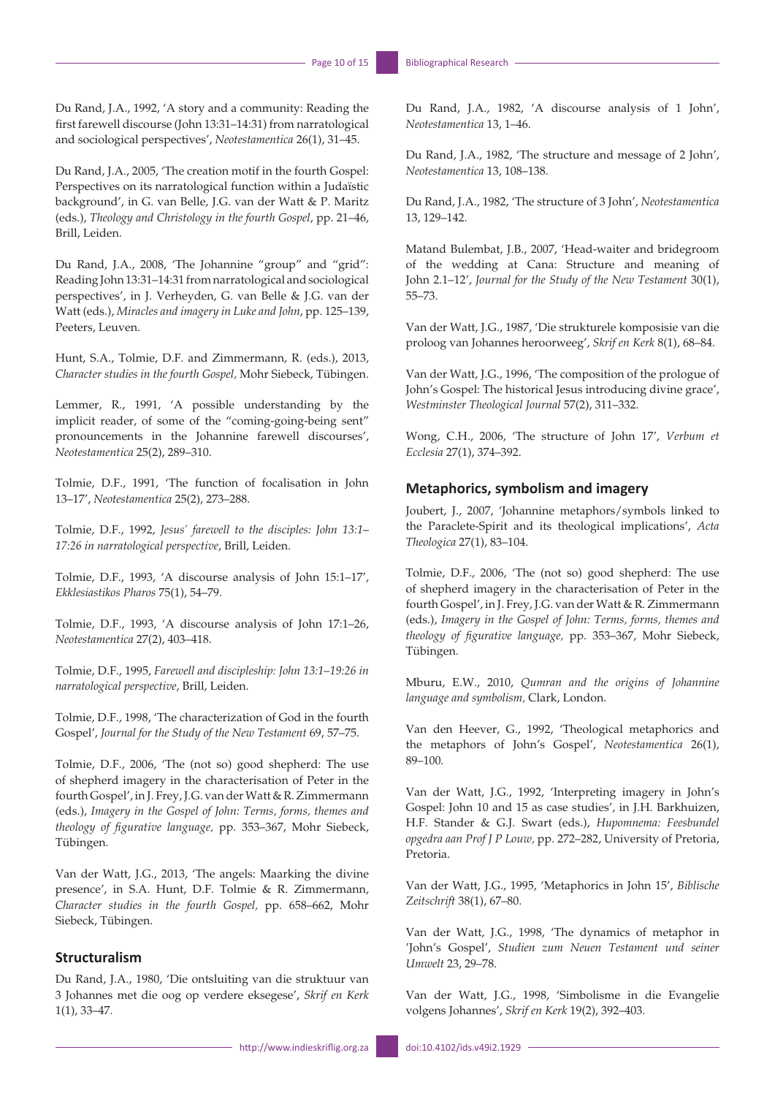Du Rand, J.A., 1992, 'A story and a community: Reading the first farewell discourse (John 13:31–14:31) from narratological and sociological perspectives', *Neotestamentica* 26(1), 31–45.

Du Rand, J.A., 2005, 'The creation motif in the fourth Gospel: Perspectives on its narratological function within a Judaïstic background', in G. van Belle, J.G. van der Watt & P. Maritz (eds.), *Theology and Christology in the fourth Gospel*, pp. 21–46, Brill, Leiden.

Du Rand, J.A., 2008, 'The Johannine "group" and "grid": Reading John 13:31–14:31 from narratological and sociological perspectives', in J. Verheyden, G. van Belle & J.G. van der Watt (eds.), *Miracles and imagery in Luke and John*, pp. 125–139, Peeters, Leuven.

Hunt, S.A., Tolmie, D.F. and Zimmermann, R. (eds.), 2013, *Character studies in the fourth Gospel,* Mohr Siebeck, Tübingen.

Lemmer, R., 1991, 'A possible understanding by the implicit reader, of some of the "coming-going-being sent" pronouncements in the Johannine farewell discourses', *Neotestamentica* 25(2), 289–310.

Tolmie, D.F., 1991, 'The function of focalisation in John 13–17', *Neotestamentica* 25(2), 273–288.

Tolmie, D.F., 1992, *Jesus' farewell to the disciples: John 13:1*– *17:26 in narratological perspective*, Brill, Leiden.

Tolmie, D.F., 1993, 'A discourse analysis of John 15:1–17', *Ekklesiastikos Pharos* 75(1), 54–79.

Tolmie, D.F., 1993, 'A discourse analysis of John 17:1–26, *Neotestamentica* 27(2), 403–418.

Tolmie, D.F., 1995, *Farewell and discipleship: John 13:1*–*19:26 in narratological perspective*, Brill, Leiden.

Tolmie, D.F., 1998, 'The characterization of God in the fourth Gospel', *Journal for the Study of the New Testament* 69, 57–75.

Tolmie, D.F., 2006, 'The (not so) good shepherd: The use of shepherd imagery in the characterisation of Peter in the fourth Gospel', in J. Frey, J.G. van der Watt & R. Zimmermann (eds.), *Imagery in the Gospel of John: Terms, forms, themes and theology of figurative language,* pp. 353–367, Mohr Siebeck, Tübingen.

Van der Watt, J.G., 2013, 'The angels: Maarking the divine presence', in S.A. Hunt, D.F. Tolmie & R. Zimmermann, *Character studies in the fourth Gospel,* pp. 658–662, Mohr Siebeck, Tübingen.

### **Structuralism**

Du Rand, J.A., 1980, 'Die ontsluiting van die struktuur van 3 Johannes met die oog op verdere eksegese', *Skrif en Kerk* 1(1), 33–47.

Du Rand, J.A., 1982, 'A discourse analysis of 1 John', *Neotestamentica* 13, 1–46.

Du Rand, J.A., 1982, 'The structure and message of 2 John', *Neotestamentica* 13, 108–138.

Du Rand, J.A., 1982, 'The structure of 3 John', *Neotestamentica* 13, 129–142.

Matand Bulembat, J.B., 2007, 'Head-waiter and bridegroom of the wedding at Cana: Structure and meaning of John 2.1–12', *Journal for the Study of the New Testament* 30(1), 55–73.

Van der Watt, J.G., 1987, 'Die strukturele komposisie van die proloog van Johannes heroorweeg', *Skrif en Kerk* 8(1), 68–84.

Van der Watt, J.G., 1996, 'The composition of the prologue of John's Gospel: The historical Jesus introducing divine grace', *Westminster Theological Journal* 57(2), 311–332.

Wong, C.H., 2006, 'The structure of John 17', *Verbum et Ecclesia* 27(1), 374–392.

#### **Metaphorics, symbolism and imagery**

Joubert, J., 2007, 'Johannine metaphors/symbols linked to the Paraclete-Spirit and its theological implications', *Acta Theologica* 27(1), 83–104.

Tolmie, D.F., 2006, 'The (not so) good shepherd: The use of shepherd imagery in the characterisation of Peter in the fourth Gospel', in J. Frey, J.G. van der Watt & R. Zimmermann (eds.), *Imagery in the Gospel of John: Terms, forms, themes and theology of figurative language,* pp. 353–367, Mohr Siebeck, Tübingen.

Mburu, E.W., 2010, *Qumran and the origins of Johannine language and symbolism,* Clark, London.

Van den Heever, G., 1992, 'Theological metaphorics and the metaphors of John's Gospel', *Neotestamentica* 26(1), 89–100*.*

Van der Watt, J.G., 1992, 'Interpreting imagery in John's Gospel: John 10 and 15 as case studies', in J.H. Barkhuizen, H.F. Stander & G.J. Swart (eds.), *Hupomnema: Feesbundel opgedra aan Prof J P Louw,* pp. 272–282, University of Pretoria, Pretoria.

Van der Watt, J.G., 1995, 'Metaphorics in John 15', *Biblische Zeitschrift* 38(1), 67–80.

Van der Watt, J.G., 1998, 'The dynamics of metaphor in 'John's Gospel', *Studien zum Neuen Testament und seiner Umwelt* 23, 29–78.

Van der Watt, J.G., 1998, 'Simbolisme in die Evangelie volgens Johannes', *Skrif en Kerk* 19(2), 392–403.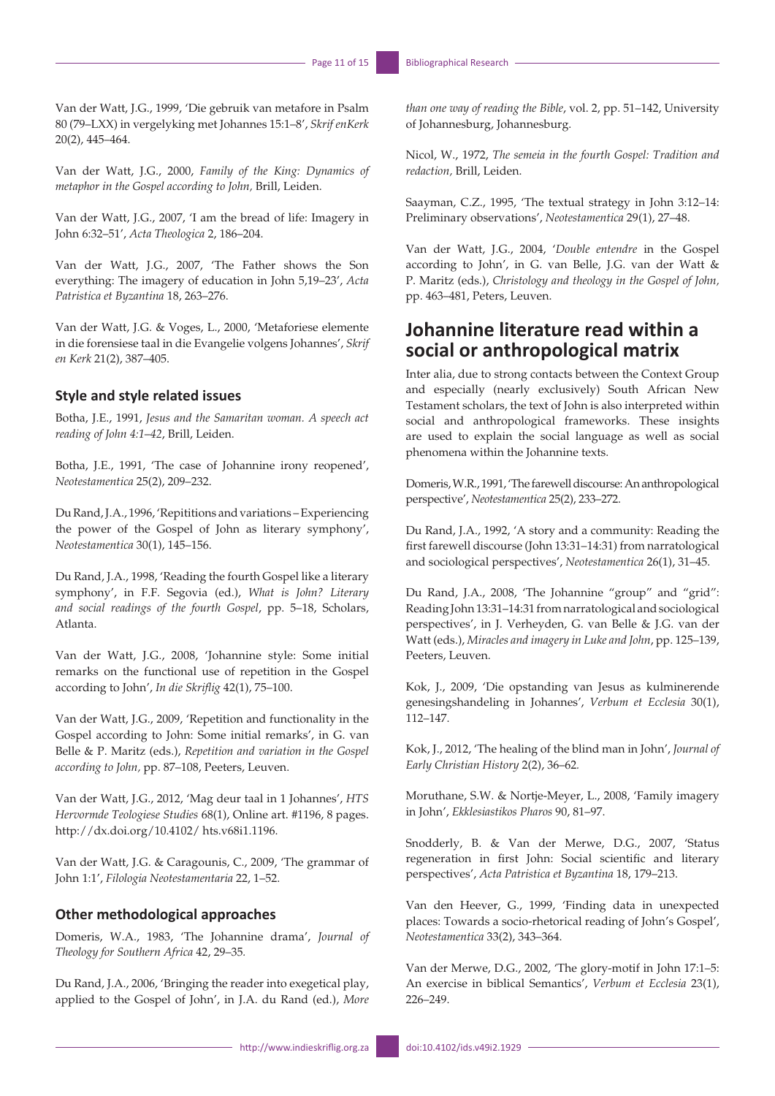Van der Watt, J.G., 1999, 'Die gebruik van metafore in Psalm 80 (79–LXX) in vergelyking met Johannes 15:1–8', *Skrif enKerk* 20(2), 445–464.

Van der Watt, J.G., 2000, *Family of the King: Dynamics of metaphor in the Gospel according to John,* Brill, Leiden.

Van der Watt, J.G., 2007, 'I am the bread of life: Imagery in John 6:32–51', *Acta Theologica* 2, 186–204.

Van der Watt, J.G., 2007, 'The Father shows the Son everything: The imagery of education in John 5,19–23', *Acta Patristica et Byzantina* 18, 263–276.

Van der Watt, J.G. & Voges, L., 2000, 'Metaforiese elemente in die forensiese taal in die Evangelie volgens Johannes', *Skrif en Kerk* 21(2), 387–405.

### **Style and style related issues**

Botha, J.E., 1991, *Jesus and the Samaritan woman. A speech act reading of John 4:1*–*42*, Brill, Leiden.

Botha, J.E., 1991, 'The case of Johannine irony reopened', *Neotestamentica* 25(2), 209–232.

Du Rand, J.A., 1996, 'Repititions and variations – Experiencing the power of the Gospel of John as literary symphony', *Neotestamentica* 30(1), 145–156.

Du Rand, J.A., 1998, 'Reading the fourth Gospel like a literary symphony', in F.F. Segovia (ed.), *What is John? Literary and social readings of the fourth Gospel*, pp. 5–18, Scholars, Atlanta.

Van der Watt, J.G., 2008, 'Johannine style: Some initial remarks on the functional use of repetition in the Gospel according to John', *In die Skriflig* 42(1), 75–100.

Van der Watt, J.G., 2009, 'Repetition and functionality in the Gospel according to John: Some initial remarks', in G. van Belle & P. Maritz (eds.), *Repetition and variation in the Gospel according to John,* pp. 87–108, Peeters, Leuven.

Van der Watt, J.G., 2012, 'Mag deur taal in 1 Johannes', *HTS Hervormde Teologiese Studies* 68(1), Online art. #1196, 8 pages. http://dx.doi.org/10.4102/ hts.v68i1.1196.

Van der Watt, J.G. & Caragounis, C., 2009, 'The grammar of John 1:1', *Filologia Neotestamentaria* 22, 1–52.

### **Other methodological approaches**

Domeris, W.A., 1983, 'The Johannine drama', *Journal of Theology for Southern Africa* 42, 29–35*.*

Du Rand, J.A., 2006, 'Bringing the reader into exegetical play, applied to the Gospel of John', in J.A. du Rand (ed.), *More* 

*than one way of reading the Bible*, vol. 2, pp. 51–142, University of Johannesburg, Johannesburg.

Nicol, W., 1972, *The semeia in the fourth Gospel: Tradition and redaction,* Brill, Leiden.

Saayman, C.Z., 1995, 'The textual strategy in John 3:12–14: Preliminary observations', *Neotestamentica* 29(1), 27–48.

Van der Watt, J.G., 2004, '*Double entendre* in the Gospel according to John', in G. van Belle, J.G. van der Watt & P. Maritz (eds.), *Christology and theology in the Gospel of John,* pp. 463–481, Peters, Leuven.

### **Johannine literature read within a social or anthropological matrix**

Inter alia, due to strong contacts between the Context Group and especially (nearly exclusively) South African New Testament scholars, the text of John is also interpreted within social and anthropological frameworks. These insights are used to explain the social language as well as social phenomena within the Johannine texts.

Domeris, W.R., 1991, 'The farewell discourse: An anthropological perspective', *Neotestamentica* 25(2), 233–272.

Du Rand, J.A., 1992, 'A story and a community: Reading the first farewell discourse (John 13:31–14:31) from narratological and sociological perspectives', *Neotestamentica* 26(1), 31–45.

Du Rand, J.A., 2008, 'The Johannine "group" and "grid": Reading John 13:31–14:31 from narratological and sociological perspectives', in J. Verheyden, G. van Belle & J.G. van der Watt (eds.), *Miracles and imagery in Luke and John*, pp. 125–139, Peeters, Leuven.

Kok, J., 2009, 'Die opstanding van Jesus as kulminerende genesingshandeling in Johannes', *Verbum et Ecclesia* 30(1), 112–147.

Kok, J., 2012, 'The healing of the blind man in John', *Journal of Early Christian History* 2(2), 36–62*.*

Moruthane, S.W. & Nortje-Meyer, L., 2008, 'Family imagery in John', *Ekklesiastikos Pharos* 90, 81–97.

Snodderly, B. & Van der Merwe, D.G., 2007, 'Status regeneration in first John: Social scientific and literary perspectives', *Acta Patristica et Byzantina* 18, 179–213.

Van den Heever, G., 1999, 'Finding data in unexpected places: Towards a socio-rhetorical reading of John's Gospel', *Neotestamentica* 33(2), 343–364.

Van der Merwe, D.G., 2002, 'The glory-motif in John 17:1–5: An exercise in biblical Semantics', *Verbum et Ecclesia* 23(1), 226–249.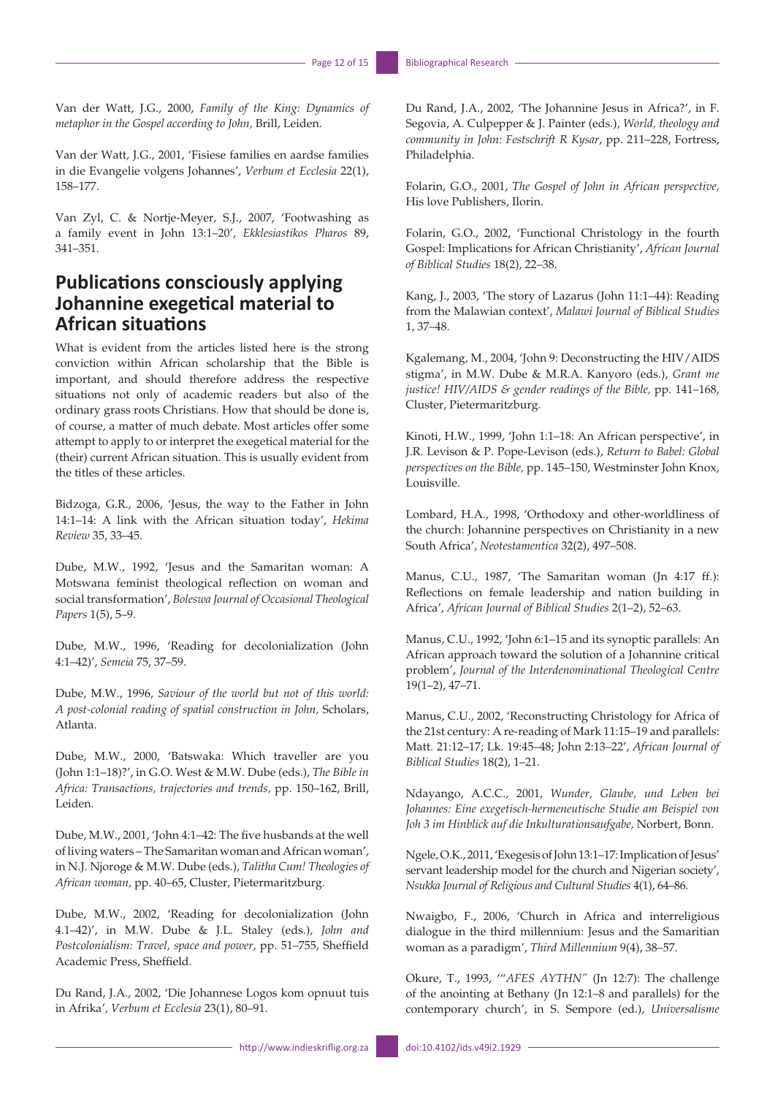Van der Watt, J.G., 2000, *Family of the King: Dynamics of metaphor in the Gospel according to John,* Brill, Leiden.

Van der Watt, J.G., 2001, 'Fisiese families en aardse families in die Evangelie volgens Johannes', *Verbum et Ecclesia* 22(1), 158–177.

Van Zyl, C. & Nortje-Meyer, S.J., 2007, 'Footwashing as a family event in John 13:1–20', *Ekklesiastikos Pharos* 89, 341–351.

## **Publications consciously applying Johannine exegetical material to African situations**

What is evident from the articles listed here is the strong conviction within African scholarship that the Bible is important, and should therefore address the respective situations not only of academic readers but also of the ordinary grass roots Christians. How that should be done is, of course, a matter of much debate. Most articles offer some attempt to apply to or interpret the exegetical material for the (their) current African situation. This is usually evident from the titles of these articles.

Bidzoga, G.R., 2006, 'Jesus, the way to the Father in John 14:1–14: A link with the African situation today', *Hekima Review* 35, 33–45.

Dube, M.W., 1992, 'Jesus and the Samaritan woman: A Motswana feminist theological reflection on woman and social transformation', *Boleswa Journal of Occasional Theological Papers* 1(5), 5–9.

Dube, M.W., 1996, 'Reading for decolonialization (John 4:1–42)', *Semeia* 75, 37–59.

Dube, M.W., 1996, *Saviour of the world but not of this world: A post-colonial reading of spatial construction in John,* Scholars, Atlanta.

Dube, M.W., 2000, 'Batswaka: Which traveller are you (John 1:1–18)?', in G.O. West & M.W. Dube (eds.), *The Bible in Africa: Transactions, trajectories and trends,* pp. 150–162, Brill, Leiden.

Dube, M.W., 2001, 'John 4:1–42: The five husbands at the well of living waters – The Samaritan woman and African woman', in N.J. Njoroge & M.W. Dube (eds.), *Talitha Cum! Theologies of African woman,* pp. 40–65, Cluster, Pietermaritzburg.

Dube, M.W., 2002, 'Reading for decolonialization (John 4.1–42)', in M.W. Dube & J.L. Staley (eds.), *John and Postcolonialism: Travel, space and power*, pp. 51–755, Sheffield Academic Press, Sheffield.

Du Rand, J.A., 2002, 'Die Johannese Logos kom opnuut tuis in Afrika', *Verbum et Ecclesia* 23(1), 80–91.

Du Rand, J.A., 2002, 'The Johannine Jesus in Africa?', in F. Segovia, A. Culpepper & J. Painter (eds.), *World, theology and community in John: Festschrift R Kysar*, pp. 211–228, Fortress, Philadelphia.

Folarin, G.O., 2001, *The Gospel of John in African perspective,*  His love Publishers, Ilorin.

Folarin, G.O., 2002, 'Functional Christology in the fourth Gospel: Implications for African Christianity', *African Journal of Biblical Studies* 18(2), 22–38.

Kang, J., 2003, 'The story of Lazarus (John 11:1–44): Reading from the Malawian context', *Malawi Journal of Biblical Studies*  1, 37–48.

Kgalemang, M., 2004, 'John 9: Deconstructing the HIV/AIDS stigma', in M.W. Dube & M.R.A. Kanyoro (eds.), *Grant me justice! HIV/AIDS & gender readings of the Bible, pp. 141-168,* Cluster, Pietermaritzburg.

Kinoti, H.W., 1999, 'John 1:1–18: An African perspective', in J.R. Levison & P. Pope-Levison (eds.), *Return to Babel: Global perspectives on the Bible,* pp. 145–150, Westminster John Knox, Louisville.

Lombard, H.A., 1998, 'Orthodoxy and other-worldliness of the church: Johannine perspectives on Christianity in a new South Africa', *Neotestamentica* 32(2), 497–508.

Manus, C.U., 1987, 'The Samaritan woman (Jn 4:17 ff.): Reflections on female leadership and nation building in Africa', *African Journal of Biblical Studies* 2(1–2), 52–63.

Manus, C.U., 1992, 'John 6:1–15 and its synoptic parallels: An African approach toward the solution of a Johannine critical problem', *Journal of the Interdenominational Theological Centre*  19(1–2), 47–71.

Manus, C.U., 2002, 'Reconstructing Christology for Africa of the 21st century: A re-reading of Mark 11:15–19 and parallels: Matt. 21:12–17; Lk. 19:45–48; John 2:13–22', *African Journal of Biblical Studies* 18(2), 1–21.

Ndayango, A.C.C., 2001, *Wunder, Glaube, und Leben bei Johannes: Eine exegetisch-hermeneutische Studie am Beispiel von Joh 3 im Hinblick auf die Inkulturationsaufgabe,* Norbert, Bonn.

Ngele, O.K., 2011, 'Exegesis of John 13:1–17: Implication of Jesus' servant leadership model for the church and Nigerian society', *Nsukka Journal of Religious and Cultural Studies* 4(1), 64–86.

Nwaigbo, F., 2006, 'Church in Africa and interreligious dialogue in the third millennium: Jesus and the Samaritian woman as a paradigm', *Third Millennium* 9(4), 38–57.

Okure, T., 1993, '"*AFES AYTHN"* (Jn 12:7): The challenge of the anointing at Bethany (Jn 12:1–8 and parallels) for the contemporary church', in S. Sempore (ed.), *Universalisme*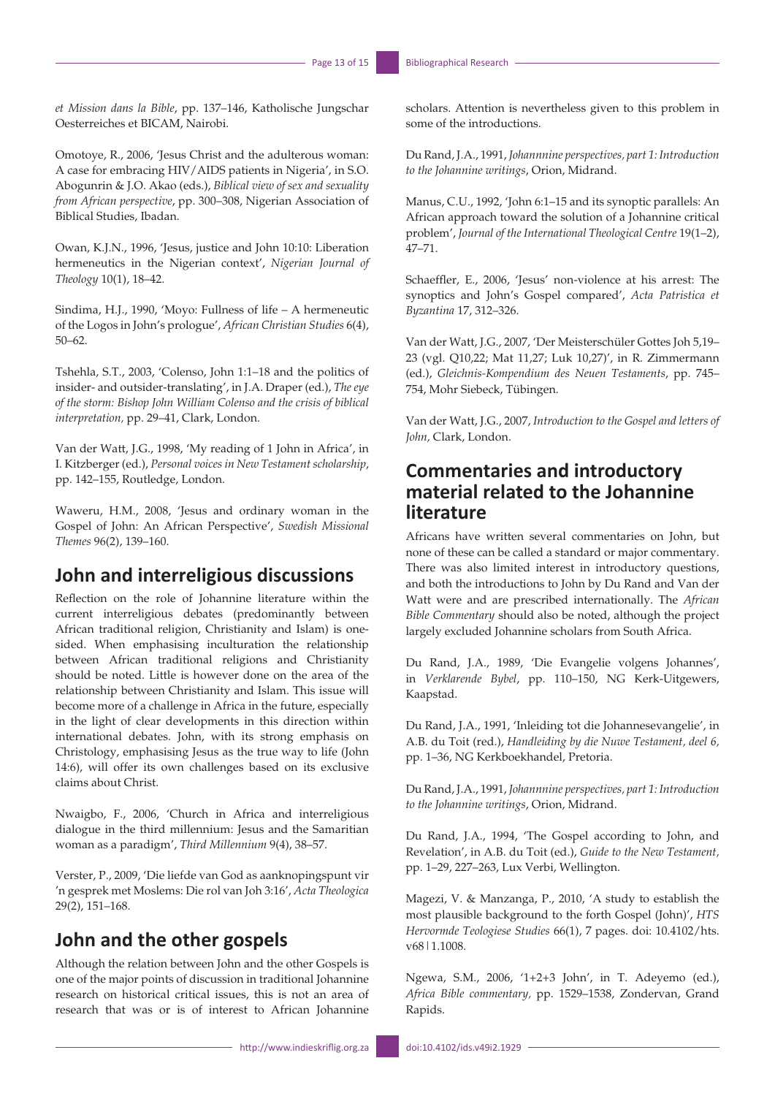*et Mission dans la Bible*, pp. 137–146, Katholische Jungschar Oesterreiches et BICAM, Nairobi.

Omotoye, R., 2006, 'Jesus Christ and the adulterous woman: A case for embracing HIV/AIDS patients in Nigeria', in S.O. Abogunrin & J.O. Akao (eds.), *Biblical view of sex and sexuality from African perspective*, pp. 300–308, Nigerian Association of Biblical Studies, Ibadan.

Owan, K.J.N., 1996, 'Jesus, justice and John 10:10: Liberation hermeneutics in the Nigerian context', *Nigerian Journal of Theology* 10(1), 18–42.

Sindima, H.J., 1990, 'Moyo: Fullness of life – A hermeneutic of the Logos in John's prologue', *African Christian Studies* 6(4), 50–62.

Tshehla, S.T., 2003, 'Colenso, John 1:1–18 and the politics of insider- and outsider-translating', in J.A. Draper (ed.), *The eye of the storm: Bishop John William Colenso and the crisis of biblical interpretation,* pp. 29–41, Clark, London.

Van der Watt, J.G., 1998, 'My reading of 1 John in Africa', in I. Kitzberger (ed.), *Personal voices in New Testament scholarship*, pp. 142–155, Routledge, London.

Waweru, H.M., 2008, 'Jesus and ordinary woman in the Gospel of John: An African Perspective', *Swedish Missional Themes* 96(2), 139–160.

### **John and interreligious discussions**

Reflection on the role of Johannine literature within the current interreligious debates (predominantly between African traditional religion, Christianity and Islam) is onesided. When emphasising inculturation the relationship between African traditional religions and Christianity should be noted. Little is however done on the area of the relationship between Christianity and Islam. This issue will become more of a challenge in Africa in the future, especially in the light of clear developments in this direction within international debates. John, with its strong emphasis on Christology, emphasising Jesus as the true way to life (John 14:6), will offer its own challenges based on its exclusive claims about Christ.

Nwaigbo, F., 2006, 'Church in Africa and interreligious dialogue in the third millennium: Jesus and the Samaritian woman as a paradigm', *Third Millennium* 9(4), 38–57.

Verster, P., 2009, 'Die liefde van God as aanknopingspunt vir 'n gesprek met Moslems: Die rol van Joh 3:16', *Acta Theologica*  29(2), 151–168.

### **John and the other gospels**

Although the relation between John and the other Gospels is one of the major points of discussion in traditional Johannine research on historical critical issues, this is not an area of research that was or is of interest to African Johannine

scholars. Attention is nevertheless given to this problem in some of the introductions.

Du Rand, J.A., 1991, *Johannnine perspectives, part 1: Introduction to the Johannine writings*, Orion, Midrand.

Manus, C.U., 1992, 'John 6:1–15 and its synoptic parallels: An African approach toward the solution of a Johannine critical problem', *Journal of the International Theological Centre* 19(1-2), 47–71.

Schaeffler, E., 2006, 'Jesus' non-violence at his arrest: The synoptics and John's Gospel compared', *Acta Patristica et Byzantina* 17, 312–326.

Van der Watt, J.G., 2007, 'Der Meisterschüler Gottes Joh 5,19– 23 (vgl. Q10,22; Mat 11,27; Luk 10,27)', in R. Zimmermann (ed.), *Gleichnis-Kompendium des Neuen Testaments*, pp. 745– 754, Mohr Siebeck, Tübingen.

Van der Watt, J.G., 2007, *Introduction to the Gospel and letters of John,* Clark, London.

# **Commentaries and introductory material related to the Johannine literature**

Africans have written several commentaries on John, but none of these can be called a standard or major commentary. There was also limited interest in introductory questions, and both the introductions to John by Du Rand and Van der Watt were and are prescribed internationally. The *African Bible Commentary* should also be noted, although the project largely excluded Johannine scholars from South Africa.

Du Rand, J.A., 1989, 'Die Evangelie volgens Johannes', in *Verklarende Bybel*, pp. 110–150, NG Kerk-Uitgewers, Kaapstad.

Du Rand, J.A., 1991, 'Inleiding tot die Johannesevangelie', in A.B. du Toit (red.), *Handleiding by die Nuwe Testament, deel 6,* pp. 1–36, NG Kerkboekhandel, Pretoria.

Du Rand, J.A., 1991, *Johannnine perspectives, part 1: Introduction to the Johannine writings*, Orion, Midrand.

Du Rand, J.A., 1994, 'The Gospel according to John, and Revelation', in A.B. du Toit (ed.), *Guide to the New Testament,* pp. 1–29, 227–263, Lux Verbi, Wellington.

Magezi, V. & Manzanga, P., 2010, 'A study to establish the most plausible background to the forth Gospel (John)', *HTS Hervormde Teologiese Studies* 66(1), 7 pages. doi: 10.4102/hts. v68 | 1.1008.

Ngewa, S.M., 2006, '1+2+3 John', in T. Adeyemo (ed.), *Africa Bible commentary,* pp. 1529–1538, Zondervan, Grand Rapids.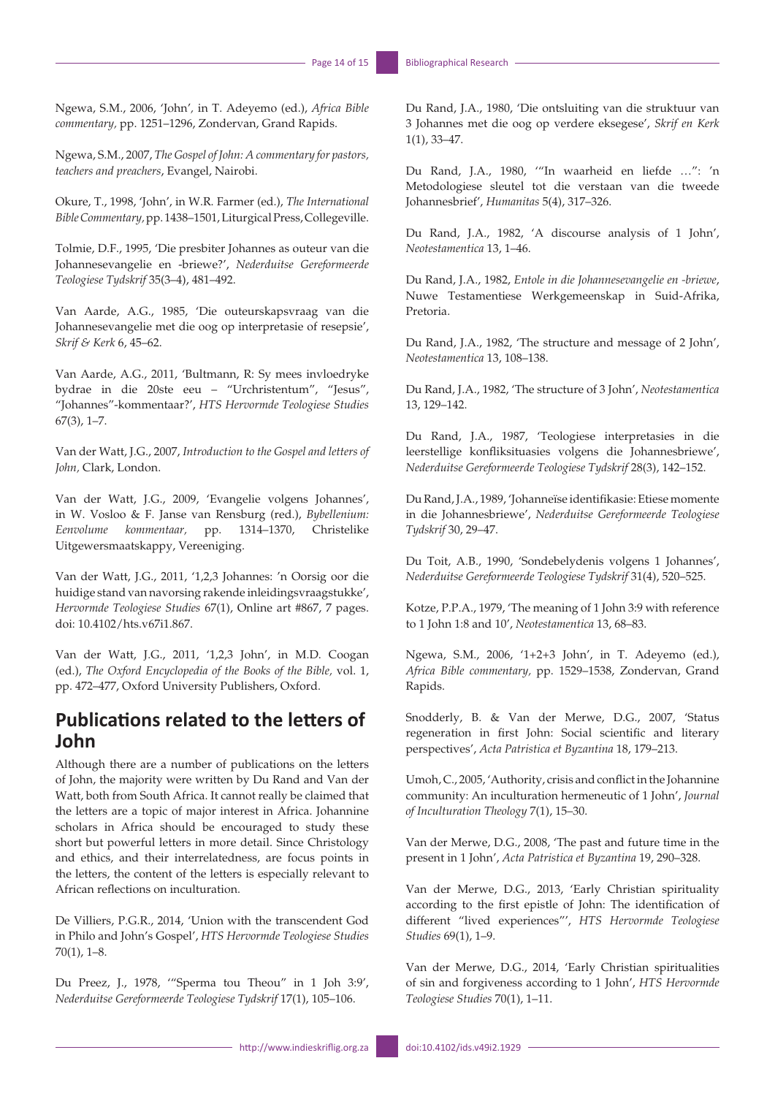Ngewa, S.M., 2006, 'John'*,* in T. Adeyemo (ed.), *Africa Bible commentary,* pp. 1251–1296, Zondervan, Grand Rapids.

Ngewa, S.M., 2007, *The Gospel of John: A commentary for pastors, teachers and preachers*, Evangel, Nairobi.

Okure, T., 1998, 'John', in W.R. Farmer (ed.), *The International Bible Commentary,* pp. 1438–1501, Liturgical Press, Collegeville.

Tolmie, D.F., 1995, 'Die presbiter Johannes as outeur van die Johannesevangelie en -briewe?', *Nederduitse Gereformeerde Teologiese Tydskrif* 35(3–4), 481–492.

Van Aarde, A.G., 1985, 'Die outeurskapsvraag van die Johannesevangelie met die oog op interpretasie of resepsie', *Skrif & Kerk* 6, 45–62.

Van Aarde, A.G., 2011, 'Bultmann, R: Sy mees invloedryke bydrae in die 20ste eeu – "Urchristentum", "Jesus", "Johannes"-kommentaar?', *HTS Hervormde Teologiese Studies* 67(3), 1–7.

Van der Watt, J.G., 2007, *Introduction to the Gospel and letters of John,* Clark, London.

Van der Watt, J.G., 2009, 'Evangelie volgens Johannes', in W. Vosloo & F. Janse van Rensburg (red.), *Bybellenium: Eenvolume kommentaar,* pp. 1314–1370, Christelike Uitgewersmaatskappy, Vereeniging.

Van der Watt, J.G., 2011, '1,2,3 Johannes: 'n Oorsig oor die huidige stand van navorsing rakende inleidingsvraagstukke', *Hervormde Teologiese Studies* 67(1), Online art #867, 7 pages. doi: 10.4102/hts.v67i1.867.

Van der Watt, J.G., 2011, '1,2,3 John', in M.D. Coogan (ed.), *The Oxford Encyclopedia of the Books of the Bible,* vol. 1, pp. 472–477, Oxford University Publishers, Oxford.

### **Publications related to the letters of John**

Although there are a number of publications on the letters of John, the majority were written by Du Rand and Van der Watt, both from South Africa. It cannot really be claimed that the letters are a topic of major interest in Africa. Johannine scholars in Africa should be encouraged to study these short but powerful letters in more detail. Since Christology and ethics, and their interrelatedness, are focus points in the letters, the content of the letters is especially relevant to African reflections on inculturation.

De Villiers, P.G.R., 2014, 'Union with the transcendent God in Philo and John's Gospel', *HTS Hervormde Teologiese Studies*  70(1), 1–8.

Du Preez, J., 1978, '"Sperma tou Theou" in 1 Joh 3:9', *Nederduitse Gereformeerde Teologiese Tydskrif* 17(1), 105–106.

Du Rand, J.A., 1980, 'Die ontsluiting van die struktuur van 3 Johannes met die oog op verdere eksegese', *Skrif en Kerk* 1(1), 33–47.

Du Rand, J.A., 1980, '"In waarheid en liefde …": 'n Metodologiese sleutel tot die verstaan van die tweede Johannesbrief', *Humanitas* 5(4), 317–326.

Du Rand, J.A., 1982, 'A discourse analysis of 1 John', *Neotestamentica* 13, 1–46.

Du Rand, J.A., 1982, *Entole in die Johannesevangelie en -briewe*, Nuwe Testamentiese Werkgemeenskap in Suid-Afrika, Pretoria.

Du Rand, J.A., 1982, 'The structure and message of 2 John', *Neotestamentica* 13, 108–138.

Du Rand, J.A., 1982, 'The structure of 3 John', *Neotestamentica* 13, 129–142.

Du Rand, J.A., 1987, 'Teologiese interpretasies in die leerstellige konfliksituasies volgens die Johannesbriewe', *Nederduitse Gereformeerde Teologiese Tydskrif* 28(3), 142–152.

Du Rand, J.A., 1989, 'Johanneïse identifikasie: Etiese momente in die Johannesbriewe', *Nederduitse Gereformeerde Teologiese Tydskrif* 30, 29–47.

Du Toit, A.B., 1990, 'Sondebelydenis volgens 1 Johannes', *Nederduitse Gereformeerde Teologiese Tydskrif* 31(4), 520–525.

Kotze, P.P.A., 1979, 'The meaning of 1 John 3:9 with reference to 1 John 1:8 and 10', *Neotestamentica* 13, 68–83.

Ngewa, S.M., 2006, '1+2+3 John', in T. Adeyemo (ed.), *Africa Bible commentary,* pp. 1529–1538, Zondervan, Grand Rapids.

Snodderly, B. & Van der Merwe, D.G., 2007, 'Status regeneration in first John: Social scientific and literary perspectives', *Acta Patristica et Byzantina* 18, 179–213.

Umoh, C., 2005, 'Authority, crisis and conflict in the Johannine community: An inculturation hermeneutic of 1 John', *Journal of Inculturation Theology* 7(1), 15–30.

Van der Merwe, D.G., 2008, 'The past and future time in the present in 1 John', *Acta Patristica et Byzantina* 19, 290–328.

Van der Merwe, D.G., 2013, 'Early Christian spirituality according to the first epistle of John: The identification of different "lived experiences"', *HTS Hervormde Teologiese Studies* 69(1), 1–9.

Van der Merwe, D.G., 2014, 'Early Christian spiritualities of sin and forgiveness according to 1 John', *HTS Hervormde Teologiese Studies* 70(1), 1–11.